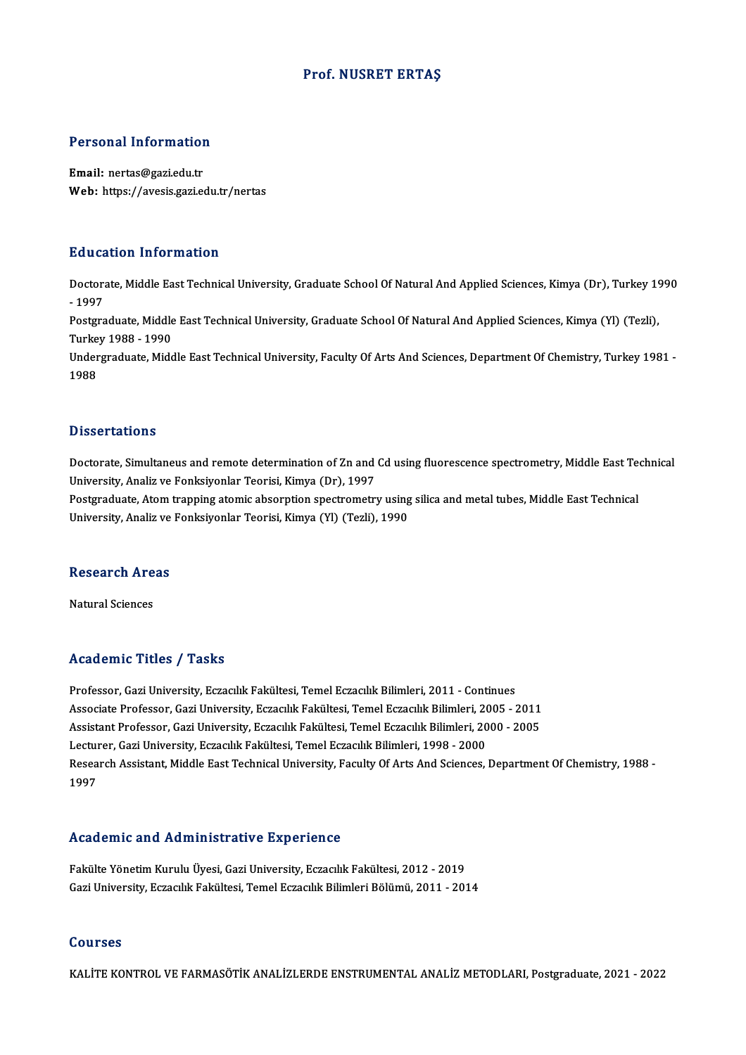#### Prof.NUSRET ERTAŞ

#### Personal Information

Email: nertas@gazi.edu.tr Web: https://avesis.gazi.edu.tr/nertas

#### Education Information

Education Information<br>Doctorate, Middle East Technical University, Graduate School Of Natural And Applied Sciences, Kimya (Dr), Turkey 1990<br>1997 Dunce<br>Doctors<br>- 1997<br>Postars Doctorate, Middle East Technical University, Graduate School Of Natural And Applied Sciences, Kimya (Dr), Turkey 19<br>- 1997<br>Postgraduate, Middle East Technical University, Graduate School Of Natural And Applied Sciences, Ki

- 1997<br>Postgraduate, Middle<br>Turkey 1988 - 1990<br>Undergraduate Mide Postgraduate, Middle East Technical University, Graduate School Of Natural And Applied Sciences, Kimya (Yl) (Tezli),<br>Turkey 1988 - 1990<br>Undergraduate, Middle East Technical University, Faculty Of Arts And Sciences, Departm

Turkey 1988 - 1990<br>Undergraduate, Middle East Technical University, Faculty Of Arts And Sciences, Department Of Chemistry, Turkey 1981 -<br>1988

#### **Dissertations**

Dissertations<br>Doctorate, Simultaneus and remote determination of Zn and Cd using fluorescence spectrometry, Middle East Technical<br>University, Analis ve Fonksivenlar Teerisi, Kimye (Dr), 1997 Dissert carrens<br>Doctorate, Simultaneus and remote determination of Zn and<br>University, Analiz ve Fonksiyonlar Teorisi, Kimya (Dr), 1997<br>Pestanaduate, Atem tranning atemis ebecuntion enectrometry Doctorate, Simultaneus and remote determination of Zn and Cd using fluorescence spectrometry, Middle East Teo<br>University, Analiz ve Fonksiyonlar Teorisi, Kimya (Dr), 1997<br>Postgraduate, Atom trapping atomic absorption spect

University, Analiz ve Fonksiyonlar Teorisi, Kimya (Dr), 1997<br>Postgraduate, Atom trapping atomic absorption spectrometry using<br>University, Analiz ve Fonksiyonlar Teorisi, Kimya (Yl) (Tezli), 1990

## oniversity, Analiz ve<br>Research Areas <mark>Research Are</mark><br>Natural Sciences

# Natural Sciences<br>Academic Titles / Tasks

Academic Titles / Tasks<br>Professor, Gazi University, Eczacılık Fakültesi, Temel Eczacılık Bilimleri, 2011 - Continues<br>Assesiste Prefessor, Cazi University, Eszacılık Fakültesi, Temel Eszacılık Bilimleri, 2005 Associate Articus 7 - 1 duks<br>Professor, Gazi University, Eczacılık Fakültesi, Temel Eczacılık Bilimleri, 2011 - Continues<br>Associate Professor, Gazi University, Eczacılık Fakültesi, Temel Eczacılık Bilimleri, 2006 - 2011<br>As Professor, Gazi University, Eczacılık Fakültesi, Temel Eczacılık Bilimleri, 2011 - Continues<br>Associate Professor, Gazi University, Eczacılık Fakültesi, Temel Eczacılık Bilimleri, 2005 - 2011<br>Assistant Professor, Gazi Unive Associate Professor, Gazi University, Eczacılık Fakültesi, Temel Eczacılık Bilimleri, 20<br>Assistant Professor, Gazi University, Eczacılık Fakültesi, Temel Eczacılık Bilimleri, 20<br>Lecturer, Gazi University, Eczacılık Fakülte Assistant Professor, Gazi University, Eczacılık Fakültesi, Temel Eczacılık Bilimleri, 2000 - 2005<br>Lecturer, Gazi University, Eczacılık Fakültesi, Temel Eczacılık Bilimleri, 1998 - 2000<br>Research Assistant, Middle East Techn Lectui<br>Resea<br>1997

#### Academic and Administrative Experience

Academic and Administrative Experience<br>Fakülte Yönetim Kurulu Üyesi, Gazi University, Eczacılık Fakültesi, 2012 - 2019<br>Cari University, Eszacılık Fakültesi, Temel Eszacılık Bilimleri Bölümü, 2011 - 201 rsuderinte dira rramminserative inipersence<br>Fakülte Yönetim Kurulu Üyesi, Gazi University, Eczacılık Fakültesi, 2012 - 2019<br>Gazi University, Eczacılık Fakültesi, Temel Eczacılık Bilimleri Bölümü, 2011 - 2014 Gazi University, Eczacılık Fakültesi, Temel Eczacılık Bilimleri Bölümü, 2011 - 2014<br>Courses

KALİTE KONTROL VE FARMASÖTİK ANALİZLERDE ENSTRUMENTAL ANALİZ METODLARI, Postgraduate, 2021 - 2022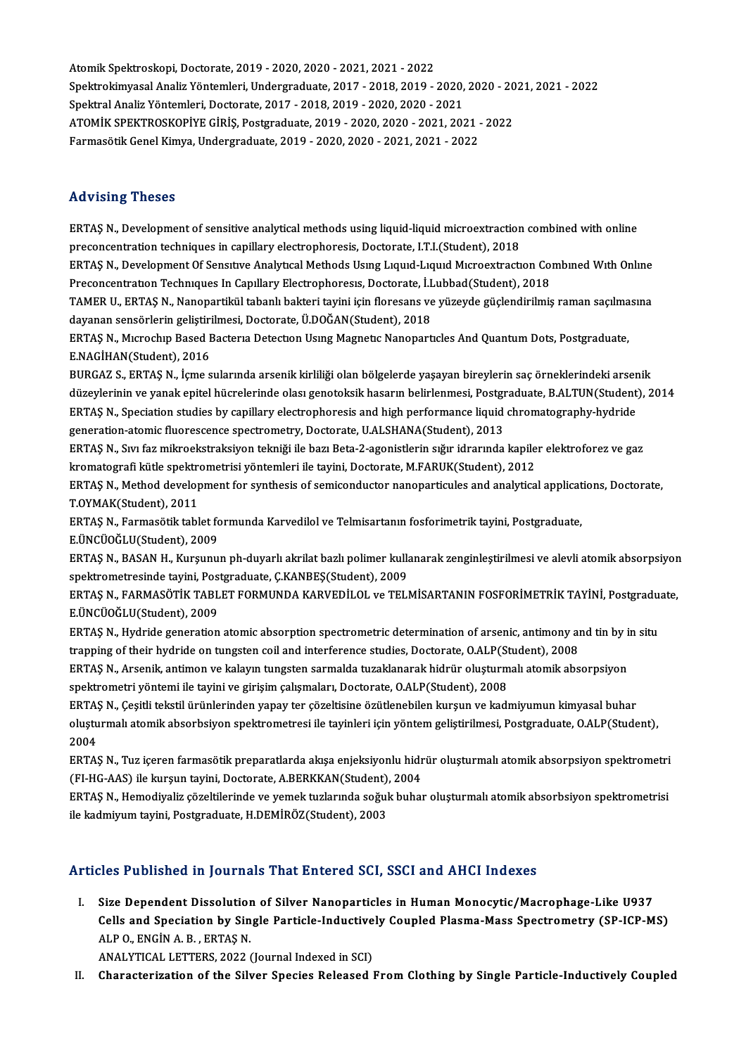AtomikSpektroskopi,Doctorate,2019 -2020,2020 -2021,2021 -2022 Atomik Spektroskopi, Doctorate, 2019 - 2020, 2020 - 2021, 2021 - 2022<br>Spektrokimyasal Analiz Yöntemleri, Undergraduate, 2017 - 2018, 2019 - 2020, 2020 - 2021, 2021 - 2022<br>Spektrok Analiz Väntemleri, Destenste, 2017, ...201 Spektral Analiz Yöntemleri, Doctorate, 2017 - 2018, 2019 - 2020, 2020 - 2021<br>ATOMİK SPEKTROSKOPİYE GİRİS. Posteraduate. 2019 - 2020. 2020 - 2021. 2021 - 2022 Spektrokimyasal Analiz Yöntemleri, Undergraduate, 2017 - 2018, 2019 - 2020, 2020 - 20<br>Spektral Analiz Yöntemleri, Doctorate, 2017 - 2018, 2019 - 2020, 2020 - 2021<br>ATOMİK SPEKTROSKOPİYE GİRİŞ, Postgraduate, 2019 - 2020, 202 FarmasötikGenelKimya,Undergraduate,2019 -2020,2020 -2021,2021 -2022

#### Advising Theses

Advising Theses<br>ERTAŞ N., Development of sensitive analytical methods using liquid-liquid microextraction combined with online<br>PRESERERITED tophologe in conjuery electrophoresis. Dectarate LTL(Student), 2018 reconcentration<br>ERTAŞ N., Development of sensitive analytical methods using liquid-liquid microextraction<br>preconcentration techniques in capillary electrophoresis, Doctorate, I.T.I.(Student), 2018<br>ERTAS N., Dovelopment Of ERTAŞ N., Development of sensitive analytical methods using liquid-liquid microextraction combined with online<br>preconcentration techniques in capillary electrophoresis, Doctorate, I.T.I.(Student), 2018<br>ERTAŞ N., Developmen

preconcentration techniques in capillary electrophoresis, Doctorate, I.T.I.(Student), 2018<br>ERTAŞ N., Development Of Sensitive Analytical Methods Using Liquid-Liquid Microextraction Co:<br>Preconcentration Techniques In Capill ERTAŞ N., Development Of Sensitive Analytical Methods Using Liquid-Liquid Microextraction Combined With Online<br>Preconcentration Techniques In Capillary Electrophoresis, Doctorate, İ.Lubbad(Student), 2018<br>TAMER U., ERTAŞ N.

Preconcentration Techniques In Capillary Electrophoresis, Doctorate, İ.L<br>TAMER U., ERTAŞ N., Nanopartikül tabanlı bakteri tayini için floresans ve<br>dayanan sensörlerin geliştirilmesi, Doctorate, Ü.DOĞAN(Student), 2018<br>ERTAS TAMER U., ERTAŞ N., Nanopartikül tabanlı bakteri tayini için floresans ve yüzeyde güçlendirilmiş raman saçılma<br>dayanan sensörlerin geliştirilmesi, Doctorate, Ü.DOĞAN(Student), 2018<br>ERTAŞ N., Mıcrochıp Based Bacterıa Detect

dayanan sensörlerin geliştirilmesi, Doctorate, Ü.DOĞAN(Student), 2018<br>ERTAŞ N., Mıcrochıp Based Bacteria Detection Using Magnetic Nanoparticles And Quantum Dots, Postgraduate,<br>E.NAGİHAN(Student), 2016 ERTAŞ N., Mıcrochıp Based Bacteria Detection Using Magnetic Nanoparticles And Quantum Dots, Postgraduate,<br>E.NAGİHAN(Student), 2016<br>BURGAZ S., ERTAŞ N., İçme sularında arsenik kirliliği olan bölgelerde yaşayan bireylerin sa

E.NAGİHAN(Student), 2016<br>BURGAZ S., ERTAŞ N., İçme sularında arsenik kirliliği olan bölgelerde yaşayan bireylerin saç örneklerindeki arsenik<br>düzeylerinin ve yanak epitel hücrelerinde olası genotoksik hasarın belirlenmesi, BURGAZ S., ERTAŞ N., İçme sularında arsenik kirliliği olan bölgelerde yaşayan bireylerin saç örneklerindeki arser<br>düzeylerinin ve yanak epitel hücrelerinde olası genotoksik hasarın belirlenmesi, Postgraduate, B.ALTUN(Stude düzeylerinin ve yanak epitel hücrelerinde olası genotoksik hasarın belirlenmesi, Postgr<br>ERTAŞ N., Speciation studies by capillary electrophoresis and high performance liquid<br>generation-atomic fluorescence spectrometry, Doc ERTAŞ N., Speciation studies by capillary electrophoresis and high performance liquid chromatography-hydride<br>generation-atomic fluorescence spectrometry, Doctorate, U.ALSHANA(Student), 2013<br>ERTAŞ N., Sıvı faz mikroekstraks

generation-atomic fluorescence spectrometry, Doctorate, U.ALSHANA(Student), 2013<br>ERTAŞ N., Sıvı faz mikroekstraksiyon tekniği ile bazı Beta-2-agonistlerin sığır idrarında kapile<br>kromatografi kütle spektrometrisi yöntemleri ERTAŞ N., Sıvı faz mikroekstraksiyon tekniği ile bazı Beta-2-agonistlerin sığır idrarında kapiler elektroforez ve gaz<br>kromatografi kütle spektrometrisi yöntemleri ile tayini, Doctorate, M.FARUK(Student), 2012<br>ERTAŞ N., Met

kromatografi kütle spektre<br>ERTAŞ N., Method develop<br>T.OYMAK(Student), 2011<br>EPTAS N., Farmasğtik tabl ERTAŞ N., Method development for synthesis of semiconductor nanoparticules and analytical applicat<br>T.OYMAK(Student), 2011<br>ERTAŞ N., Farmasötik tablet formunda Karvedilol ve Telmisartanın fosforimetrik tayini, Postgraduate,

T.OYMAK(Student), 2011<br>ERTAŞ N., Farmasötik tablet formunda Karvedilol ve Telmisartanın fosforimetrik tayini, Postgraduate,<br>E.ÜNCÜOĞLU(Student), 2009

ERTAŞN., BASANH., Kurşunun ph-duyarlı akrilat bazlı polimer kullanarak zenginleştirilmesi ve alevli atomik absorpsiyon spektrometresinde tayini, Postgraduate, Ç.KANBEŞ(Student), 2009 ERTAŞ N., BASAN H., Kurşunun ph-duyarlı akrilat bazlı polimer kullanarak zenginleştirilmesi ve alevli atomik absorpsiyon<br>spektrometresinde tayini, Postgraduate, Ç.KANBEŞ(Student), 2009<br>ERTAŞ N., FARMASÖTİK TABLET FORMUNDA

spektrometresinde tayini, Pos<br>ERTAŞ N., FARMASÖTİK TABL<br>E.ÜNCÜOĞLU(Student), 2009<br>EPTAS N., Hydride generation ERTAŞ N., FARMASÖTİK TABLET FORMUNDA KARVEDİLOL ve TELMİSARTANIN FOSFORİMETRİK TAYİNİ, Postgradu<br>E.ÜNCÜOĞLU(Student), 2009<br>ERTAŞ N., Hydride generation atomic absorption spectrometric determination of arsenic, antimony and

E.ÜNCÜOĞLU(Student), 2009<br>ERTAŞ N., Hydride generation atomic absorption spectrometric determination of arsenic, antimony an<br>trapping of their hydride on tungsten coil and interference studies, Doctorate, O.ALP(Student), 2 ERTAŞ N., Hydride generation atomic absorption spectrometric determination of arsenic, antimony and tin by is<br>trapping of their hydride on tungsten coil and interference studies, Doctorate, O.ALP(Student), 2008<br>ERTAŞ N., A

trapping of their hydride on tungsten coil and interference studies, Doctorate, O.ALP(Student), 2008<br>ERTAŞ N., Arsenik, antimon ve kalayın tungsten sarmalda tuzaklanarak hidrür oluşturmalı atomik absorpsiyon<br>spektrometri y ERTAŞ N., Arsenik, antimon ve kalayın tungsten sarmalda tuzaklanarak hidrür oluşturmalı atomik absorpsiyon<br>spektrometri yöntemi ile tayini ve girişim çalışmaları, Doctorate, O.ALP(Student), 2008<br>ERTAŞ N., Çeşitli tekstil ü

spektrometri yöntemi ile tayini ve girişim çalışmaları, Doctorate, O.ALP(Student), 2008<br>ERTAŞ N., Çeşitli tekstil ürünlerinden yapay ter çözeltisine özütlenebilen kurşun ve kadmiyumun kimyasal buhar<br>oluşturmalı atomik abso ERTA<mark>ș</mark><br>oluștu<br>2004<br>EPTA oluşturmalı atomik absorbsiyon spektrometresi ile tayinleri için yöntem geliştirilmesi, Postgraduate, O.ALP(Student),<br>2004<br>ERTAŞ N., Tuz içeren farmasötik preparatlarda akışa enjeksiyonlu hidrür oluşturmalı atomik absorpsi

2004<br>ERTAŞ N., Tuz içeren farmasötik preparatlarda akışa enjeksiyonlu hidr<br>(FI-HG-AAS) ile kurşun tayini, Doctorate, A.BERKKAN(Student), 2004<br>ERTAS N., Hamodiyalir göreltilerinde ve yemek turlarında soğuk bubel ERTAŞ N., Tuz içeren farmasötik preparatlarda akışa enjeksiyonlu hidrür oluşturmalı atomik absorpsiyon spektrometri<br>(FI-HG-AAS) ile kurşun tayini, Doctorate, A.BERKKAN(Student), 2004<br>ERTAŞ N., Hemodiyaliz çözeltilerinde ve

(FI-HG-AAS) ile kurşun tayini, Doctorate, A.BERKKAN(Student), 2004<br>ERTAŞ N., Hemodiyaliz çözeltilerinde ve yemek tuzlarında soğuk buhar oluşturmalı atomik absorbsiyon spektrometrisi<br>ile kadmiyum tayini, Postgraduate, H.DEM

### Articles Published in Journals That Entered SCI, SSCI and AHCI Indexes

The Published in Journals That Entered SCI, SSCI and AHCI Indexes<br>I. Size Dependent Dissolution of Silver Nanoparticles in Human Monocytic/Macrophage-Like U937<br>Celle and Speciation by Single Particle Industively Counled Pl Size Dependent Dissolution of Silver Nanoparticles in Human Monocytic/Macrophage-Like U937<br>Cells and Speciation by Single Particle-Inductively Coupled Plasma-Mass Spectrometry (SP-ICP-MS)<br>ALRO, ENGIN A. B., ERTAS N. Size Dependent Dissolution<br>Cells and Speciation by Sin<br>ALP O., ENGİN A. B. , ERTAŞ N.<br>ANALYTICAL LETTERS 2022. Cells and Speciation by Single Particle-Inductive<br>ALP O., ENGIN A. B., ERTAŞ N.<br>ANALYTICAL LETTERS, 2022 (Journal Indexed in SCI)<br>Characterization of the Silver Species Peleased I ALP 0., ENGIN A. B. , ERTAŞ N.<br>ANALYTICAL LETTERS, 2022 (Journal Indexed in SCI)<br>II. Characterization of the Silver Species Released From Clothing by Single Particle-Inductively Coupled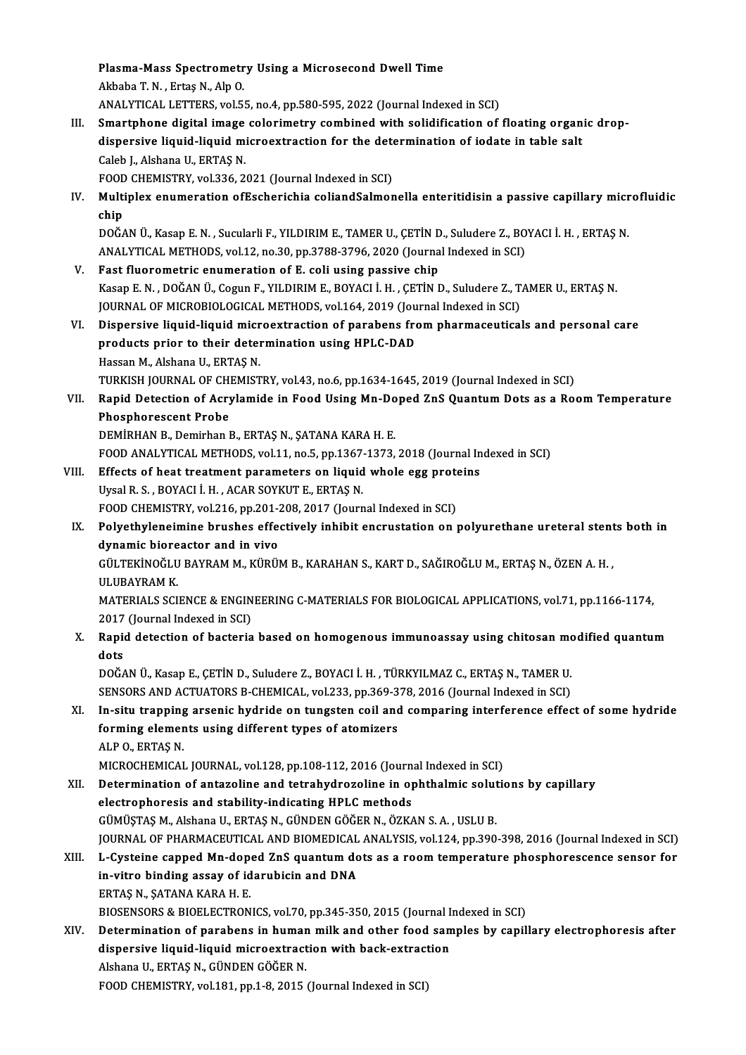Plasma-Mass Spectrometry Using a Microsecond Dwell Time<br>Althaba T.N., Entes N. Alp O Plasma-Mass Spectrometr<br>Akbaba T. N. , Ertaş N., Alp O.<br>ANALYTICAL LETTERS vel El Plasma-Mass Spectrometry Using a Microsecond Dwell Time<br>Akbaba T. N. , Ertaş N., Alp O.<br>ANALYTICAL LETTERS, vol.55, no.4, pp.580-595, 2022 (Journal Indexed in SCI)<br>Smartphana digital image salarimetry sambinad with salidif Akbaba T. N. , Ertaş N., Alp O.<br>ANALYTICAL LETTERS, vol.55, no.4, pp.580-595, 2022 (Journal Indexed in SCI)<br>III. Smartphone digital image colorimetry combined with solidification of floating organic drop-<br>dianonaive liquid ANALYTICAL LETTERS, vol.55, no.4, pp.580-595, 2022 (Journal Indexed in SCI)<br>Smartphone digital image colorimetry combined with solidification of floating organ<br>dispersive liquid-liquid microextraction for the determination Smartphone digital image<br>dispersive liquid-liquid mi<br>Caleb J., Alshana U., ERTAŞ N.<br>FOOD CHEMISTPV vel 336-3. dispersive liquid-liquid microextraction for the determination of iodate in table salt Caleb J., Alshana U., ERTAS N. IV. Multiplex enumeration ofEscherichia coliandSalmonella enteritidisin a passive capillary microfluidic<br>chip FOOD CHEMISTRY, vol.336, 2021 (Journal Indexed in SCI) Multiplex enumeration ofEscherichia coliandSalmonella enteritidisin a passive capillary micr<br>chip<br>DOĞAN Ü., Kasap E.N. , Sucularli F., YILDIRIM E., TAMER U., ÇETİN D., Suludere Z., BOYACI İ. H. , ERTAŞ N.<br>ANALYTICAL METHOD chip<br>DOĞAN Ü., Kasap E. N. , Sucularli F., YILDIRIM E., TAMER U., ÇETİN D., Suludere Z., BO<br>ANALYTICAL METHODS, vol.12, no.30, pp.3788-3796, 2020 (Journal Indexed in SCI)<br>Fest fluoremetris enumeration of E. soli using nass DOĞAN Ü., Kasap E. N., Sucularli F., YILDIRIM E., TAMER U., ÇETİN D<br>ANALYTICAL METHODS, vol.12, no.30, pp.3788-3796, 2020 (Journa<br>V. Fast fluorometric enumeration of E. coli using passive chip<br>Kasap E. N., DOĞAN Ü. Cogup E ANALYTICAL METHODS, vol.12, no.30, pp.3788-3796, 2020 (Journal Indexed in SCI)<br>V. Fast fluorometric enumeration of E. coli using passive chip<br>Kasap E. N. , DOĞAN Ü., Cogun F., YILDIRIM E., BOYACI İ. H. , ÇETİN D., Suludere Fast fluorometric enumeration of E. coli using passive chip<br>Kasap E. N. , DOĞAN Ü., Cogun F., YILDIRIM E., BOYACI İ. H. , ÇETİN D., Suludere Z., T.<br>JOURNAL OF MICROBIOLOGICAL METHODS, vol.164, 2019 (Journal Indexed in SCI) Kasap E. N. , DOĞAN Ü., Cogun F., YILDIRIM E., BOYACI İ. H. , ÇETİN D., Suludere Z., TAMER U., ERTAŞ N.<br>JOURNAL OF MICROBIOLOGICAL METHODS, vol.164, 2019 (Journal Indexed in SCI)<br>VI. Dispersive liquid-liquid microextractio JOURNAL OF MICROBIOLOGICAL METHODS, vol.164, 2019 (Jou<br>Dispersive liquid-liquid microextraction of parabens fro<br>products prior to their determination using HPLC-DAD<br>Hessan M. Alsbans II, EPTAS N Dispersive liquid-liquid micr<br>products prior to their detel<br>Hassan M., Alshana U., ERTAŞ N.<br>TURKISH JOURNAL OF CHEMIST products prior to their determination using HPLC-DAD<br>Hassan M., Alshana U., ERTAŞ N.<br>TURKISH JOURNAL OF CHEMISTRY, vol.43, no.6, pp.1634-1645, 2019 (Journal Indexed in SCI) Hassan M., Alshana U., ERTAŞ N.<br>TURKISH JOURNAL OF CHEMISTRY, vol.43, no.6, pp.1634-1645, 2019 (Journal Indexed in SCI)<br>VII. Rapid Detection of Acrylamide in Food Using Mn-Doped ZnS Quantum Dots as a Room Temperature<br>R TURKISH JOURNAL OF CH<br>Rapid Detection of Acry<br>Phosphorescent Probe<br>DEMIPHAN B. Demirban I Rapid Detection of Acrylamide in Food Using Mn-Do<br>Phosphorescent Probe<br>DEMİRHAN B., Demirhan B., ERTAŞ N., ŞATANA KARA H. E.<br>FOOD ANALYTICAL METHODS vol 11 no 5 np 1367 1373 Phosphorescent Probe<br>DEMİRHAN B., Demirhan B., ERTAŞ N., ŞATANA KARA H. E.<br>FOOD ANALYTICAL METHODS, vol.11, no.5, pp.1367-1373, 2018 (Journal Indexed in SCI) DEMIRHAN B., Demirhan B., ERTAŞ N., ŞATANA KARA H. E.<br>FOOD ANALYTICAL METHODS, vol.11, no.5, pp.1367-1373, 2018 (Journal In<br>VIII. Effects of heat treatment parameters on liquid whole egg proteins<br>Urgal B.S., POYACLL H., AC FOOD ANALYTICAL METHODS, vol.11, no.5, pp.1367<br>Effects of heat treatment parameters on liquid<br>Uysal R. S. , BOYACI İ. H. , ACAR SOYKUT E., ERTAŞ N.<br>FOOD CHEMISTPY vol.216, pp.201, 209, 2017 (Journ Effects of heat treatment parameters on liquid whole egg prote<br>Uysal R. S. , BOYACI İ. H. , ACAR SOYKUT E., ERTAŞ N.<br>FOOD CHEMISTRY, vol.216, pp.201-208, 2017 (Journal Indexed in SCI)<br>Polysthyloneimine brushes effectively Uysal R. S. , BOYACI İ. H. , ACAR SOYKUT E., ERTAŞ N.<br>FOOD CHEMISTRY, vol.216, pp.201-208, 2017 (Journal Indexed in SCI)<br>IX. Polyethyleneimine brushes effectively inhibit encrustation on polyurethane ureteral stents both i FOOD CHEMISTRY, vol.216, pp.201-208, 2017 (Journal Indexed in SCI) Polyethyleneimine brushes effectively inhibit encrustation on polyurethane ureteral stent<br>dynamic bioreactor and in vivo<br>GÜLTEKİNOĞLU BAYRAM M., KÜRÜM B., KARAHAN S., KART D., SAĞIROĞLU M., ERTAŞ N., ÖZEN A. H. ,<br>III IIPAY <mark>dynamic biore</mark><br>GÜLTEKİNOĞLU<br>ULUBAYRAM K.<br>MATERIALS SCI GÜLTEKİNOĞLU BAYRAM M., KÜRÜM B., KARAHAN S., KART D., SAĞIROĞLU M., ERTAŞ N., ÖZEN A. H. ,<br>ULUBAYRAM K.<br>MATERIALS SCIENCE & ENGINEERING C-MATERIALS FOR BIOLOGICAL APPLICATIONS, vol.71, pp.1166-1174,<br>2017 (Jaurnal Indoved ULUBAYRAM K.<br>MATERIALS SCIENCE & ENGINEERING C-MATERIALS FOR BIOLOGICAL APPLICATIONS, vol.71, pp.1166-1174,<br>2017 (Journal Indexed in SCI) MATERIALS SCIENCE & ENGINEERING C-MATERIALS FOR BIOLOGICAL APPLICATIONS, vol.71, pp.1166-1174,<br>2017 (Journal Indexed in SCI)<br>X. Rapid detection of bacteria based on homogenous immunoassay using chitosan modified quantum 2017<br>Rapio<br>dots<br>DOČ4 Rapid detection of bacteria based on homogenous immunoassay using chitosan modots<br>dots<br>DOĞAN Ü., Kasap E., ÇETİN D., Suludere Z., BOYACI İ. H. , TÜRKYILMAZ C., ERTAŞ N., TAMER U.<br>SENSORS AND ACTUATORS B. GUEMICAL .val 222. dots<br>DOĞAN Ü., Kasap E., ÇETİN D., Suludere Z., BOYACI İ. H. , TÜRKYILMAZ C., ERTAŞ N., TAMER U.<br>SENSORS AND ACTUATORS B-CHEMICAL, vol.233, pp.369-378, 2016 (Journal Indexed in SCI)<br>In situ tranning arsonia budride en tung DOĞAN Ü., Kasap E., ÇETİN D., Suludere Z., BOYACI İ. H. , TÜRKYILMAZ C., ERTAŞ N., TAMER U.<br>SENSORS AND ACTUATORS B-CHEMICAL, vol.233, pp.369-378, 2016 (Journal Indexed in SCI)<br>XI. In-situ trapping arsenic hydride on tungs SENSORS AND ACTUATORS B-CHEMICAL, vol.233, pp.369-3<br>In-situ trapping arsenic hydride on tungsten coil and<br>forming elements using different types of atomizers<br>ALBO EPTAS N **In-situ trapping<br>forming elemer<br>ALP 0., ERTAŞ N.<br>MCPOCHEMICAL** forming elements using different types of atomizers<br>ALP 0., ERTAŞ N.<br>MICROCHEMICAL JOURNAL, vol.128, pp.108-112, 2016 (Journal Indexed in SCI) ALP 0., ERTAŞ N.<br>MICROCHEMICAL JOURNAL, vol.128, pp.108-112, 2016 (Journal Indexed in SCI)<br>XII. Determination of antazoline and tetrahydrozoline in ophthalmic solutions by capillary<br>electronborecis and stability indicating electrophoresis and stability-indicating HPLC methods<br>GÜMÜSTAS M., Alshana U., ERTAS N., GÜNDEN GÖĞER N., ÖZKAN S. A., USLU B. Determination of antazoline and tetrahydrozoline in ophthalmic solut<br>electrophoresis and stability-indicating HPLC methods<br>GÜMÜŞTAŞ M., Alshana U., ERTAŞ N., GÜNDEN GÖĞER N., ÖZKAN S. A. , USLU B.<br>JOUPMAL OF PHAPMACEUTICAL electrophoresis and stability-indicating HPLC methods<br>GÜMÜŞTAŞ M., Alshana U., ERTAŞ N., GÜNDEN GÖĞER N., ÖZKAN S. A. , USLU B.<br>JOURNAL OF PHARMACEUTICAL AND BIOMEDICAL ANALYSIS, vol.124, pp.390-398, 2016 (Journal Indexed GÜMÜŞTAŞ M., Alshana U., ERTAŞ N., GÜNDEN GÖĞER N., ÖZKAN S. A. , USLU B.<br>JOURNAL OF PHARMACEUTICAL AND BIOMEDICAL ANALYSIS, vol.124, pp.390-398, 2016 (Journal Indexed in SCI)<br>XIII. L-Cysteine capped Mn-doped ZnS quant JOURNAL OF PHARMACEUTICAL AND BIOMEDICAL<br>L-Cysteine capped Mn-doped ZnS quantum do<br>in-vitro binding assay of idarubicin and DNA<br>EPTAS N. SATANA KARA H. E L-Cysteine capped Mn-dop<br>in-vitro binding assay of id<br>ERTAŞ N., ŞATANA KARA H. E.<br>PIOSENSORS & PIOELECTRON in-vitro binding assay of idarubicin and DNA<br>ERTAŞ N., ŞATANA KARA H. E.<br>BIOSENSORS & BIOELECTRONICS, vol.70, pp.345-350, 2015 (Journal Indexed in SCI)<br>Determination of norobone in bumon milk and other food comples by soni ERTAŞ N., ŞATANA KARA H. E.<br>BIOSENSORS & BIOELECTRONICS, vol.70, pp.345-350, 2015 (Journal Indexed in SCI)<br>XIV. Determination of parabens in human milk and other food samples by capillary electrophoresis after<br>dianonaive l BIOSENSORS & BIOELECTRONICS, vol.70, pp.345-350, 2015 (Journal I<br>Determination of parabens in human milk and other food san<br>dispersive liquid-liquid microextraction with back-extraction<br>Alshane U. ERTAS N. CÜNDEN CÖČER N. Determination of parabens in humar<br>dispersive liquid-liquid microextract<br>Alshana U., ERTAŞ N., GÜNDEN GÖĞER N.<br>FOOD CHEMISTEV .vel 191 pp.1-9-2015 . dispersive liquid-liquid microextraction with back-extraction<br>Alshana U., ERTAŞ N., GÜNDEN GÖĞER N.<br>FOOD CHEMISTRY, vol.181, pp.1-8, 2015 (Journal Indexed in SCI)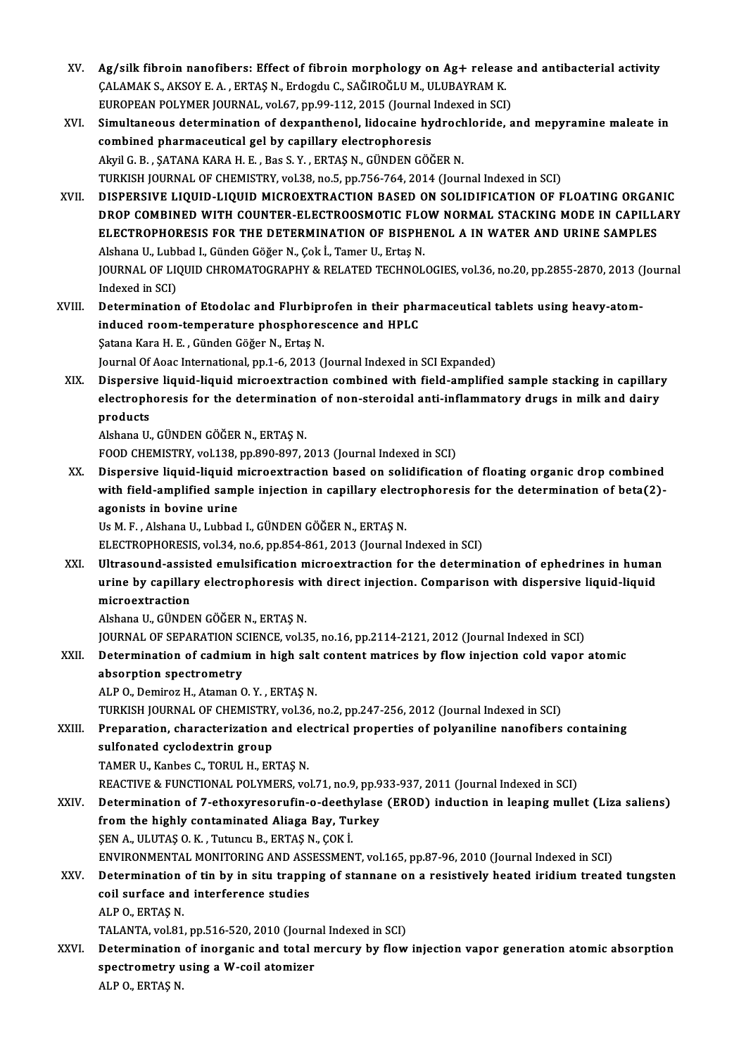- XV. Ag/silk fibroin nanofibers: Effect of fibroin morphology on Ag+ release and antibacterial activity Ag/silk fibroin nanofibers: Effect of fibroin morphology on Ag+ releas<br>ÇALAMAK S., AKSOY E. A. , ERTAŞ N., Erdogdu C., SAĞIROĞLU M., ULUBAYRAM K.<br>FUROPEAN POLYMER JOURNAL, vel 67, np.99,112, 2015 (Journal Indeved in SCI) Ag/silk fibroin nanofibers: Effect of fibroin morphology on Ag+ release<br>CALAMAK S., AKSOY E. A. , ERTAŞ N., Erdogdu C., SAĞIROĞLU M., ULUBAYRAM K.<br>EUROPEAN POLYMER JOURNAL, vol.67, pp.99-112, 2015 (Journal Indexed in SCI)<br> EUROPEAN POLYMER JOURNAL, vol.67, pp.99-112, 2015 (Journal Indexed in SCI)
- XVI. Simultaneous determination of dexpanthenol, lidocaine hydrochloride, and mepyramine maleate in combined pharmaceutical gel by capillary electrophoresis AkyilG.B. ,ŞATANAKARAH.E. ,Bas S.Y. ,ERTAŞN.,GÜNDENGÖĞERN. TURKISH JOURNAL OF CHEMISTRY, vol.38, no.5, pp.756-764, 2014 (Journal Indexed in SCI) Akyil G. B. , ŞATANA KARA H. E. , Bas S. Y. , ERTAŞ N., GÜNDEN GÖĞER N.<br>TURKISH JOURNAL OF CHEMISTRY, vol.38, no.5, pp.756-764, 2014 (Journal Indexed in SCI)<br>XVII. DISPERSIVE LIQUID-LIQUID MICROEXTRACTION BASED ON SOLIDIFI
- TURKISH JOURNAL OF CHEMISTRY, vol.38, no.5, pp.756-764, 2014 (Journal Indexed in SCI)<br>DISPERSIVE LIQUID-LIQUID MICROEXTRACTION BASED ON SOLIDIFICATION OF FLOATING ORGANIC<br>DROP COMBINED WITH COUNTER-ELECTROOSMOTIC FLOW NORM DISPERSIVE LIQUID-LIQUID MICROEXTRACTION BASED ON SOLIDIFICATION OF FLOATING ORGAN<br>DROP COMBINED WITH COUNTER-ELECTROOSMOTIC FLOW NORMAL STACKING MODE IN CAPILL.<br>ELECTROPHORESIS FOR THE DETERMINATION OF BISPHENOL A IN WATE DROP COMBINED WITH COUNTER-ELECTROOSMOTIC FLO<br>ELECTROPHORESIS FOR THE DETERMINATION OF BISPHI<br>Alshana U., Lubbad I., Günden Göğer N., Çok İ., Tamer U., Ertaş N.<br>JOUPMAL OF LIQUID CHROMATOCRARHY & RELATED TECHNOL ELECTROPHORESIS FOR THE DETERMINATION OF BISPHENOL A IN WATER AND URINE SAMPLES<br>Alshana U., Lubbad I., Günden Göğer N., Çok İ., Tamer U., Ertaş N.<br>JOURNAL OF LIQUID CHROMATOGRAPHY & RELATED TECHNOLOGIES, vol.36, no.20, pp. Alshana U., Lubl<br>JOURNAL OF LI<br>Indexed in SCI)<br>Determination JOURNAL OF LIQUID CHROMATOGRAPHY & RELATED TECHNOLOGIES, vol.36, no.20, pp.2855-2870, 2013 (<br>Indexed in SCI)<br>XVIII. Determination of Etodolac and Flurbiprofen in their pharmaceutical tablets using heavy-atom-<br>induced noom
- Indexed in SCI)<br>Determination of Etodolac and Flurbiprofen in their pha<br>induced room-temperature phosphorescence and HPLC<br>Satana Kara H, E. Günden Cöğan N, Eutas N Determination of Etodolac and Flurbipr<br>induced room-temperature phosphores<br>Şatana Kara H. E. , Günden Göğer N., Ertaş N.<br>Journal Of Aces International nn 1,6, 2012 () induced room-temperature phosphorescence and HPLC<br>Satana Kara H. E. , Günden Göğer N., Ertaş N.<br>Journal Of Aoac International, pp.1-6, 2013 (Journal Indexed in SCI Expanded)
- XIX. Dispersive liquid-liquid microextraction combined with field-amplified sample stacking in capillary Journal Of Aoac International, pp.1-6, 2013 (Journal Indexed in SCI Expanded)<br>Dispersive liquid-liquid microextraction combined with field-amplified sample stacking in capillar<sub>.</sub><br>electrophoresis for the determination of n Dispersiv<br>electroph<br>products<br><sup>Alebane U</sup> electrophoresis for the determination<br>products<br>Alshana U., GÜNDEN GÖĞER N., ERTAŞ N.<br>FOOD CHEMISTEV .vol 139. pp.990.997. 3 products<br>Alshana U., GÜNDEN GÖĞER N., ERTAŞ N.<br>FOOD CHEMISTRY, vol.138, pp.890-897, 2013 (Journal Indexed in SCI)

Alshana U., GÜNDEN GÖĞER N., ERTAŞ N.<br>FOOD CHEMISTRY, vol.138, pp.890-897, 2013 (Journal Indexed in SCI)<br>XX. Dispersive liquid-liquid microextraction based on solidification of floating organic drop combined<br>with field FOOD CHEMISTRY, vol.138, pp.890-897, 2013 (Journal Indexed in SCI)<br>Dispersive liquid-liquid microextraction based on solidification of floating organic drop combined<br>with field-amplified sample injection in capillary elect Dispersive liquid-liquid r<br>with field-amplified samp<br>agonists in bovine urine<br><sup>Ho M E</sup> Alshana H Lubbad with field-amplified sample injection in capillary electrophoresis for the determination of beta(2)-<br>agonists in bovine urine<br>Us M. F., Alshana U., Lubbad I., GÜNDEN GÖĞER N., ERTAŞ N.

ELECTROPHORESIS, vol.34, no.6, pp.854-861, 2013 (Journal Indexed in SCI)

XXI. Ultrasound-assisted emulsification microextraction for the determination of ephedrines in human ELECTROPHORESIS, vol.34, no.6, pp.854-861, 2013 (Journal Indexed in SCI)<br>Ultrasound-assisted emulsification microextraction for the determination of ephedrines in humar<br>urine by capillary electrophoresis with direct inject Ultrasound-assis<br>urine by capillar<br>microextraction<br>Alsbana U. CÜNDE urine by capillary electrophoresis w<br>microextraction<br>Alshana U., GÜNDEN GÖĞER N., ERTAŞ N.<br>JOUPMAL OF SERARATION SCIENCE vol 3 microextraction<br>Alshana U., GÜNDEN GÖĞER N., ERTAŞ N.<br>JOURNAL OF SEPARATION SCIENCE, vol.35, no.16, pp.2114-2121, 2012 (Journal Indexed in SCI)<br>Determination of sadmium in bish salt santant matrises by flow injestion sald

### Alshana U., GÜNDEN GÖĞER N., ERTAŞ N.<br>JOURNAL OF SEPARATION SCIENCE, vol.35, no.16, pp.2114-2121, 2012 (Journal Indexed in SCI)<br>XXII. Determination of cadmium in high salt content matrices by flow injection cold vapor atom **JOURNAL OF SEPARATION SON<br>Determination of cadmiur<br>absorption spectrometry**

ALPO.,DemirozH.,AtamanO.Y. ,ERTAŞN.

TURKISH JOURNAL OF CHEMISTRY, vol.36, no.2, pp.247-256, 2012 (Journal Indexed in SCI)

### ALP 0., Demiroz H., Ataman 0. Y. , ERTAŞ N.<br>TURKISH JOURNAL OF CHEMISTRY, vol.36, no.2, pp.247-256, 2012 (Journal Indexed in SCI)<br>XXIII. Preparation, characterization and electrical properties of polyaniline nanofibers con sulfonated cyclodextrin group<br>TAMER U., Kanbes C., TORUL H., ERTAS N. Preparation, characterization and ele<br>sulfonated cyclodextrin group<br>TAMER U., Kanbes C., TORUL H., ERTAŞ N.<br>PEACTIVE & EUNCTIONAL POLYMERS VO

REACTIVE & FUNCTIONAL POLYMERS, vol.71, no.9, pp.933-937, 2011 (Journal Indexed in SCI)

### TAMER U., Kanbes C., TORUL H., ERTAŞ N.<br>REACTIVE & FUNCTIONAL POLYMERS, vol.71, no.9, pp.933-937, 2011 (Journal Indexed in SCI)<br>XXIV. Determination of 7-ethoxyresorufin-o-deethylase (EROD) induction in leaping mullet (Liza REACTIVE & FUNCTIONAL POLYMERS, vol.71, no.9, pp.9<br>Determination of 7-ethoxyresorufin-o-deethylase<br>from the highly contaminated Aliaga Bay, Turkey<br>SEN A, HUITAS O K, Tuturau B, EBTAS N, COK İ Determination of 7-ethoxyresorufin-o-deeth<br>from the highly contaminated Aliaga Bay, Tu<br>ŞEN A., ULUTAŞ O.K., Tutuncu B., ERTAŞ N., ÇOK İ.<br>ENVIRONMENTAL MONITORINC AND ASSESSMEN from the highly contaminated Aliaga Bay, Turkey<br>ŞEN A., ULUTAŞ O. K. , Tutuncu B., ERTAŞ N., ÇOK İ.<br>ENVIRONMENTAL MONITORING AND ASSESSMENT, vol.165, pp.87-96, 2010 (Journal Indexed in SCI)<br>Determination of tin by in situ

### SEN A., ULUTAŞ O. K. , Tutuncu B., ERTAŞ N., ÇOK İ.<br>ENVIRONMENTAL MONITORING AND ASSESSMENT, vol.165, pp.87-96, 2010 (Journal Indexed in SCI)<br>XXV. Determination of tin by in situ trapping of stannane on a resistively h ENVIRONMENTAL MONITORING AND ASS<br>Determination of tin by in situ trappi<br>coil surface and interference studies<br>ALBO ERTAS N Determination<br>coil surface and<br>ALP 0., ERTAŞ N.<br>TALANTA, vel 91 coil surface and interference studies<br>ALP 0., ERTAŞ N.<br>TALANTA, vol.81, pp.516-520, 2010 (Journal Indexed in SCI)<br>Determination of inorganis and tatal morgunu bu flow

ALP O., ERTAŞ N.<br>TALANTA, vol.81, pp.516-520, 2010 (Journal Indexed in SCI)<br>XXVI. Determination of inorganic and total mercury by flow injection vapor generation atomic absorption<br>apostrometry using a W soil atomizer TALANTA, vol.81, pp.516-520, 2010 (Journ<br>Determination of inorganic and total r<br>spectrometry using a W-coil atomizer<br>ALBO, EPTAS N Determination<br>spectrometry u<br>ALP 0., ERTAŞ N.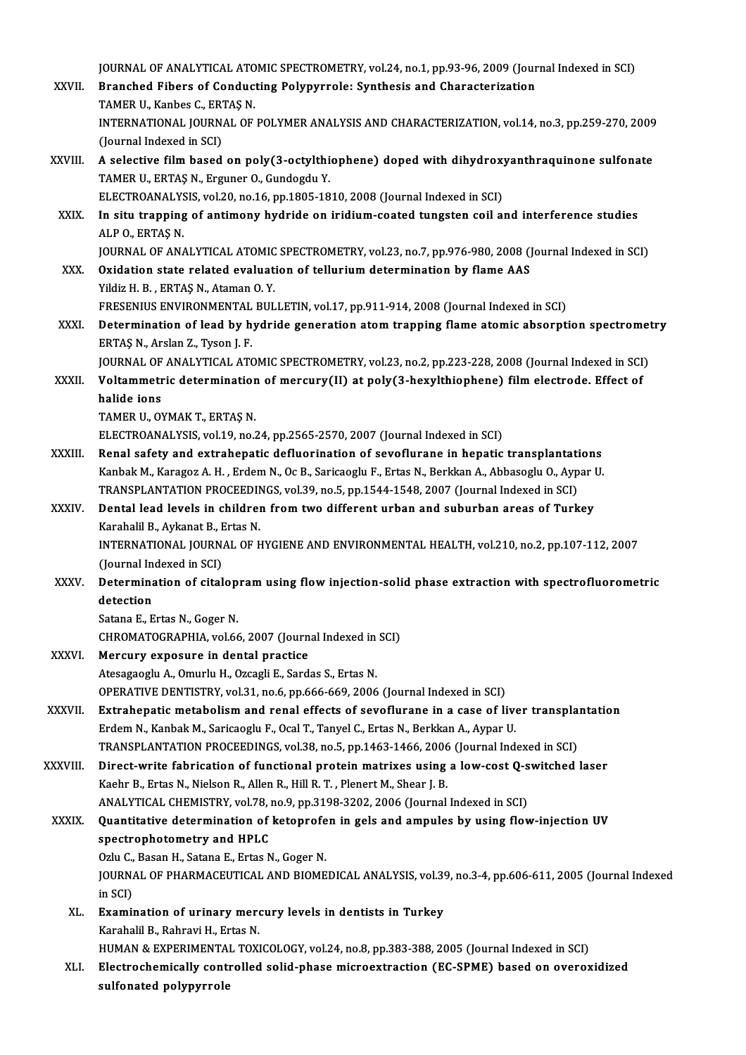JOURNAL OF ANALYTICAL ATOMIC SPECTROMETRY, vol.24, no.1, pp.93-96, 2009 (Journal Indexed in SCI)<br>Pranchad Eibers of Conducting Polynumale: Synthesis and Characterization

- JOURNAL OF ANALYTICAL ATOMIC SPECTROMETRY, vol.24, no.1, pp.93-96, 2009 (Jour<br>XXVII. Branched Fibers of Conducting Polypyrrole: Synthesis and Characterization **JOURNAL OF ANALYTICAL ATO<br>Branched Fibers of Conduc<br>TAMER U., Kanbes C., ERTAŞ N.**<br>INTERNATIONAL IOURNAL OF Branched Fibers of Conducting Polypyrrole: Synthesis and Characterization<br>TAMER U., Kanbes C., ERTAŞ N.<br>INTERNATIONAL JOURNAL OF POLYMER ANALYSIS AND CHARACTERIZATION, vol.14, no.3, pp.259-270, 2009<br>(Jaunnal Indoved in SCI TAMER U., Kanbes C., ERT<br>INTERNATIONAL JOURN.<br>(Journal Indexed in SCI) INTERNATIONAL JOURNAL OF POLYMER ANALYSIS AND CHARACTERIZATION, vol.14, no.3, pp.259-270, 2009<br>(Journal Indexed in SCI)<br>XXVIII. A selective film based on poly(3-octylthiophene) doped with dihydroxyanthraquinone sulfonate<br>T
- (Journal Indexed in SCI)<br>A selective film based on poly(3-octylthi<br>TAMER U., ERTAŞ N., Erguner O., Gundogdu Y.<br>ELECTPOANALYSIS YRL20 no 16 nn 1905-19 A selective film based on poly(3-octylthiophene) doped with dihydrox<br>TAMER U., ERTAŞ N., Erguner O., Gundogdu Y.<br>ELECTROANALYSIS, vol.20, no.16, pp.1805-1810, 2008 (Journal Indexed in SCI)<br>In situ tranning of antimony bydr
- TAMER U., ERTAŞ N., Erguner O., Gundogdu Y.<br>ELECTROANALYSIS, vol.20, no.16, pp.1805-1810, 2008 (Journal Indexed in SCI)<br>XXIX. In situ trapping of antimony hydride on iridium-coated tungsten coil and interference studies<br>AL ELECTROANALYS<br>In situ trapping<br>ALP O., ERTAŞ N.<br>JOUPMAL OE AN In situ trapping of antimony hydride on iridium-coated tungsten coil and interference studies<br>ALP 0., ERTAŞ N.<br>JOURNAL OF ANALYTICAL ATOMIC SPECTROMETRY, vol.23, no.7, pp.976-980, 2008 (Journal Indexed in SCI)<br>Quidation st
- ALP O., ERTAȘ N.<br>JOURNAL OF ANALYTICAL ATOMIC SPECTROMETRY, vol.23, no.7, pp.976-980, 2008 (<br>XXX. Oxidation state related evaluation of tellurium determination by flame AAS<br>Yildiz H. B., ERTAS N., Ataman O. Y. JOURNAL OF ANALYTICAL ATOMIC<br>Oxidation state related evaluat<br>Yildiz H. B. , ERTAŞ N., Ataman O. Y.<br>ERESENIJIS ENVIRONMENTAL PIJI Oxidation state related evaluation of tellurium determination by flame AAS<br>Yildiz H. B. , ERTAŞ N., Ataman O. Y.<br>FRESENIUS ENVIRONMENTAL BULLETIN, vol.17, pp.911-914, 2008 (Journal Indexed in SCI)<br>Determination of load by
- Yildiz H. B., ERTAŞ N., Ataman O. Y.<br>FRESENIUS ENVIRONMENTAL BULLETIN, vol.17, pp.911-914, 2008 (Journal Indexed in SCI)<br>XXXI. Determination of lead by hydride generation atom trapping flame atomic absorption spectrome FRESENIUS ENVIRONMENTAL<br>Determination of lead by h<br>ERTAŞ N., Arslan Z., Tyson J. F.<br>JOUPNAL OF ANALYTICAL ATC Determination of lead by hydride generation atom trapping flame atomic absorption spectromet<br>ERTAŞ N., Arslan Z., Tyson J. F.<br>JOURNAL OF ANALYTICAL ATOMIC SPECTROMETRY, vol.23, no.2, pp.223-228, 2008 (Journal Indexed in SC

ERTAȘ N., Arslan Z., Tyson J. F.<br>JOURNAL OF ANALYTICAL ATOMIC SPECTROMETRY, vol.23, no.2, pp.223-228, 2008 (Journal Indexed in SCI<br>XXXII. Voltammetric determination of mercury(II) at poly(3-hexylthiophene) film electro **JOURNAL OF<br>Voltammetr<br>halide ions<br>TAMER U\_OV** halide ions<br>TAMER U., OYMAK T., ERTAŞ N.

ELECTROANALYSIS, vol.19, no.24, pp.2565-2570, 2007 (Journal Indexed in SCI)

XXXIII. Renal safety and extrahepatic defluorination of sevoflurane in hepatic transplantations ELECTROANALYSIS, vol.19, no.24, pp.2565-2570, 2007 (Journal Indexed in SCI)<br>Renal safety and extrahepatic defluorination of sevoflurane in hepatic transplantations<br>Kanbak M., Karagoz A. H. , Erdem N., Oc B., Saricaoglu F., Renal safety and extrahepatic defluorination of sevoflurane in hepatic transplantati<br>Kanbak M., Karagoz A. H. , Erdem N., Oc B., Saricaoglu F., Ertas N., Berkkan A., Abbasoglu O., Ayp<br>TRANSPLANTATION PROCEEDINGS, vol.39, n Kanbak M., Karagoz A. H. , Erdem N., Oc B., Saricaoglu F., Ertas N., Berkkan A., Abbasoglu O., Aypar l<br>TRANSPLANTATION PROCEEDINGS, vol.39, no.5, pp.1544-1548, 2007 (Journal Indexed in SCI)<br>XXXIV. Dental lead levels in chi TRANSPLANTATION PROCEEDINGS, vol.39, no.5, pp.1544-1548, 2007 (Journal Indexed in SCI)<br>Dental lead levels in children from two different urban and suburban areas of Turkey

### Karahalil B., Aykanat B., Ertas N.

INTERNATIONAL JOURNAL OF HYGIENE AND ENVIRONMENTAL HEALTH, vol.210, no.2, pp.107-112, 2007<br>(Journal Indexed in SCI) INTERNATIONAL JOURNAL OF HYGIENE AND ENVIRONMENTAL HEALTH, vol.210, no.2, pp.107-112, 2007<br>(Journal Indexed in SCI)<br>XXXV. Determination of citalopram using flow injection-solid phase extraction with spectrofluorometric<br>det

### (Journal In<br>Determina<br>detection<br>Satana E. E **Determination of citalop<br>detection<br>Satana E., Ertas N., Goger N.<br>CHROMATOCRAPHA, vol 66** detection<br>Satana E., Ertas N., Goger N.<br>CHROMATOGRAPHIA, vol.66, 2007 (Journal Indexed in SCI)<br>Morguny avnosure in dental prestise

- Satana E., Ertas N., Goger N.<br>CHROMATOGRAPHIA, vol.66, 2007 (Journal Indexed in<br>XXXVI. Mercury exposure in dental practice<br>Atesagaoglu A., Omurlu H., Ozcagli E., Sardas S., Ertas N. CHROMATOGRAPHIA, vol.66, 2007 (Journal Indexed in<br>Mercury exposure in dental practice<br>Atesagaoglu A., Omurlu H., Ozcagli E., Sardas S., Ertas N.<br>OPERATIVE DENTISTRY vol.21, no.6, np.66, 660, 2006 Mercury exposure in dental practice<br>Atesagaoglu A., Omurlu H., Ozcagli E., Sardas S., Ertas N.<br>OPERATIVE DENTISTRY, vol.31, no.6, pp.666-669, 2006 (Journal Indexed in SCI)<br>Eutrabenatis matabolism and renal offests of sevef
- XXXVII. Extrahepatic metabolism and renal effects of sevoflurane in a case of liver transplantation<br>Erdem N., Kanbak M., Saricaoglu F., Ocal T., Tanyel C., Ertas N., Berkkan A., Aypar U. OPERATIVE DENTISTRY, vol.31, no.6, pp.666-669, 2006 (Journal Indexed in SCI)<br>Extrahepatic metabolism and renal effects of sevoflurane in a case of live<br>Erdem N., Kanbak M., Saricaoglu F., Ocal T., Tanyel C., Ertas N., Berk Extrahepatic metabolism and renal effects of sevoflurane in a case of liver transpla<br>Erdem N., Kanbak M., Saricaoglu F., Ocal T., Tanyel C., Ertas N., Berkkan A., Aypar U.<br>TRANSPLANTATION PROCEEDINGS, vol.38, no.5, pp.1463
- Erdem N., Kanbak M., Saricaoglu F., Ocal T., Tanyel C., Ertas N., Berkkan A., Aypar U.<br>TRANSPLANTATION PROCEEDINGS, vol.38, no.5, pp.1463-1466, 2006 (Journal Indexed in SCI)<br>XXXVIII. Direct-write fabrication of functional TRANSPLANTATION PROCEEDINGS, vol.38, no.5, pp.1463-1466, 2006<br>Direct-write fabrication of functional protein matrixes using<br>Kaehr B., Ertas N., Nielson R., Allen R., Hill R. T. , Plenert M., Shear J. B.<br>ANALYTICAL CHEMISTR Direct-write fabrication of functional protein matrixes using a low-cost Q-s<br>Kaehr B., Ertas N., Nielson R., Allen R., Hill R. T. , Plenert M., Shear J. B.<br>ANALYTICAL CHEMISTRY, vol.78, no.9, pp.3198-3202, 2006 (Journal In Kaehr B., Ertas N., Nielson R., Allen R., Hill R. T. , Plenert M., Shear J. B.<br>ANALYTICAL CHEMISTRY, vol.78, no.9, pp.3198-3202, 2006 (Journal Indexed in SCI)<br>XXXIX. Quantitative determination of ketoprofen in gels and amp

## ANALYTICAL CHEMISTRY, vol.78, i<br>Quantitative determination of<br>spectrophotometry and HPLC **Quantitative determination of ketoprofe<br>spectrophotometry and HPLC<br>Ozlu C., Basan H., Satana E., Ertas N., Goger N.<br>JOUPMAL OF PHAPMACEUTICAL AND PIOME**

Ozlu C., Basan H., Satana E., Ertas N., Goger N.

spectrophotometry and HPLC<br>Ozlu C., Basan H., Satana E., Ertas N., Goger N.<br>JOURNAL OF PHARMACEUTICAL AND BIOMEDICAL ANALYSIS, vol.39, no.3-4, pp.606-611, 2005 (Journal Indexed<br>in SCI) JOURNAL OF PHARMACEUTICAL AND BIOMEDICAL ANALYSIS, vol.39<br>in SCI)<br>XL. Examination of urinary mercury levels in dentists in Turkey<br>Karabalil B. Bahnavi H. Entas N.

in SCI)<br><mark>Examination of urinary mer</mark><br>Karahalil B., Rahravi H., Ertas N.<br>HUMAN & EYDERIMENTAL TOVI Karahalil B., Rahravi H., Ertas N.<br>HUMAN & EXPERIMENTAL TOXICOLOGY, vol.24, no.8, pp.383-388, 2005 (Journal Indexed in SCI)

Karahalil B., Rahravi H., Ertas N.<br>HUMAN & EXPERIMENTAL TOXICOLOGY, vol.24, no.8, pp.383-388, 2005 (Journal Indexed in SCI)<br>XLI. Electrochemically controlled solid-phase microextraction (EC-SPME) based on overoxidized<br> HUMAN & EXPERIMENTA<br>Electrochemically cont:<br>sulfonated polypyrrole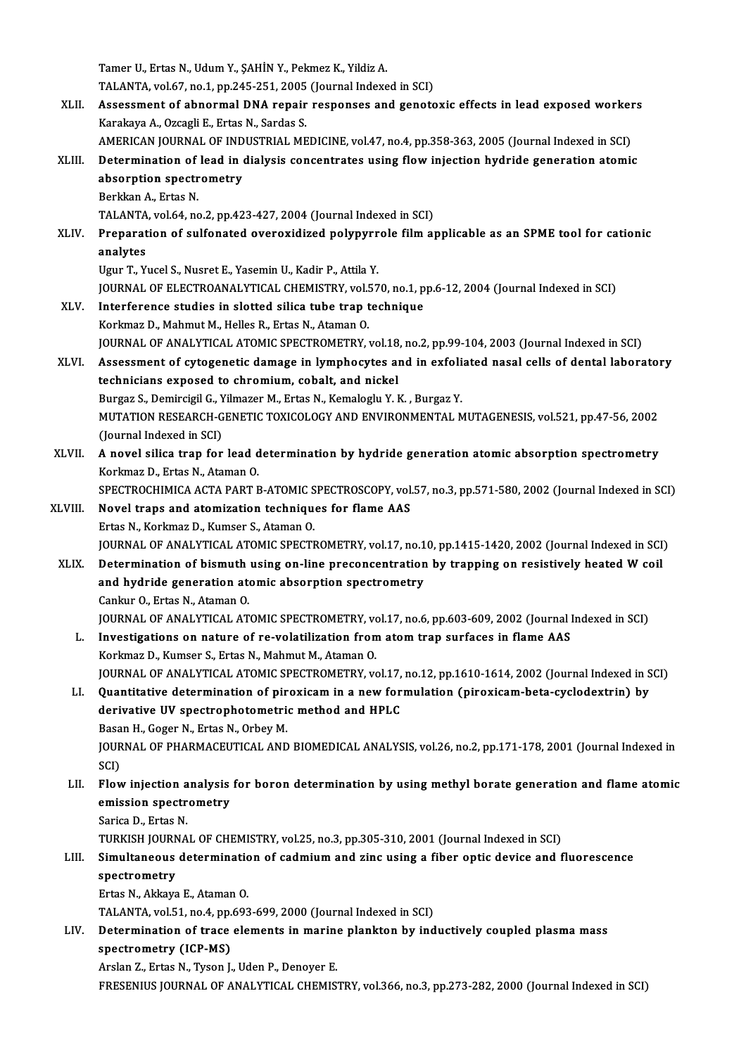Tamer U., Ertas N., Udum Y., ŞAHİN Y., Pekmez K., Yildiz A. Tamer U., Ertas N., Udum Y., ŞAHİN Y., Pekmez K., Yildiz A.<br>TALANTA, vol.67, no.1, pp.245-251, 2005 (Journal Indexed in SCI)<br>Assessment of shnormal DNA renair respenses and genets XLII. Assessment of abnormal DNA repair responses and genotoxic effects in lead exposed workers<br>Karakaya A., Ozcagli E., Ertas N., Sardas S. TALANTA, vol.67, no.1, pp.245-251, 2005<br>Assessment of abnormal DNA repair<br>Karakaya A., Ozcagli E., Ertas N., Sardas S.<br>AMERICAN JOUPNAL OF INDUSTRIAL ME Assessment of abnormal DNA repair responses and genotoxic effects in lead exposed worker<br>Karakaya A., Ozcagli E., Ertas N., Sardas S.<br>AMERICAN JOURNAL OF INDUSTRIAL MEDICINE, vol.47, no.4, pp.358-363, 2005 (Journal Indexed XLIII. Determination of lead in dialysis concentrates using flow injection hydride generation atomic AMERICAN JOURNAL OF IND<br>Determination of lead in expectrometry<br>Register A Frise N absorption spectrometry<br>Berkkan A., Ertas N. TALANTA, vol.64, no.2, pp.423-427, 2004 (Journal Indexed in SCI) Berkkan A., Ertas N.<br>TALANTA, vol.64, no.2, pp.423-427, 2004 (Journal Indexed in SCI)<br>XLIV. Preparation of sulfonated overoxidized polypyrrole film applicable as an SPME tool for cationic<br>analytes TALANTA<br>Preparat<br>analytes<br><sup>Haur T-V</sub></sup> Preparation of sulfonated overoxidized polypyrr<br>analytes<br>Ugur T., Yucel S., Nusret E., Yasemin U., Kadir P., Attila Y.<br>JOUPMAL OF ELECTROANALYTICAL CHEMISTRY vol 57 analytes<br>Ugur T., Yucel S., Nusret E., Yasemin U., Kadir P., Attila Y.<br>JOURNAL OF ELECTROANALYTICAL CHEMISTRY, vol.570, no.1, pp.6-12, 2004 (Journal Indexed in SCI) XLV. Interference studies in slotted silica tube trap technique Korkmaz D., Mahmut M., Helles R., Ertas N., Ataman O. JOURNAL OF ANALYTICAL ATOMIC SPECTROMETRY, vol.18, no.2, pp.99-104, 2003 (Journal Indexed in SCI) Korkmaz D., Mahmut M., Helles R., Ertas N., Ataman O.<br>JOURNAL OF ANALYTICAL ATOMIC SPECTROMETRY, vol.18, no.2, pp.99-104, 2003 (Journal Indexed in SCI)<br>XLVI. Assessment of cytogenetic damage in lymphocytes and in exfoliate JOURNAL OF ANALYTICAL ATOMIC SPECTROMETRY, vol.18<br>Assessment of cytogenetic damage in lymphocytes aftechnicians exposed to chromium, cobalt, and nickel<br>Burger S. Domingial C. Vilmager M. Extee N. Komalogly V. I Assessment of cytogenetic damage in lymphocytes and in exfoli<br>technicians exposed to chromium, cobalt, and nickel<br>Burgaz S., Demircigil G., Yilmazer M., Ertas N., Kemaloglu Y. K. , Burgaz Y.<br>MUTATION RESEARCH CENETIC TOYIC technicians exposed to chromium, cobalt, and nickel<br>Burgaz S., Demircigil G., Yilmazer M., Ertas N., Kemaloglu Y. K. , Burgaz Y.<br>MUTATION RESEARCH-GENETIC TOXICOLOGY AND ENVIRONMENTAL MUTAGENESIS, vol.521, pp.47-56, 2002<br>( Burgaz S., Demircigil G., Yilmazer M., Ertas N., Kemaloglu Y. K. , Burgaz Y.<br>MUTATION RESEARCH-GENETIC TOXICOLOGY AND ENVIRONMENTAL M<br>(Journal Indexed in SCI) MUTATION RESEARCH-GENETIC TOXICOLOGY AND ENVIRONMENTAL MUTAGENESIS, vol.521, pp.47-56, 2002<br>(Journal Indexed in SCI)<br>XLVII. A novel silica trap for lead determination by hydride generation atomic absorption spectrometry<br>Ke A novel silica trap for lead determination by hydride generation atomic absorption spectrometry Korkmaz D., Ertas N., Ataman O. A novel silica trap for lead determination by hydride generation atomic absorption spectrometry<br>Korkmaz D., Ertas N., Ataman O.<br>SPECTROCHIMICA ACTA PART B-ATOMIC SPECTROSCOPY, vol.57, no.3, pp.571-580, 2002 (Journal Indexe Korkmaz D., Ertas N., Ataman O.<br>SPECTROCHIMICA ACTA PART B-ATOMIC SPECTROSCOPY, vol.<br>XLVIII. Novel traps and atomization techniques for flame AAS SPECTROCHIMICA ACTA PART B-ATOMIC S<br>Novel traps and atomization technique<br>Ertas N., Korkmaz D., Kumser S., Ataman O.<br>JOUPNAL OF ANALYTICAL ATOMIC SPECTI XLVIII. Novel traps and atomization techniques for flame AAS<br>Ertas N., Korkmaz D., Kumser S., Ataman O.<br>JOURNAL OF ANALYTICAL ATOMIC SPECTROMETRY, vol.17, no.10, pp.1415-1420, 2002 (Journal Indexed in SCI) XLIX. Determination of bismuth using on-line preconcentration by trapping on resistively heated W coil JOURNAL OF ANALYTICAL ATOMIC SPECTROMETRY, vol.17, no.1<br>Determination of bismuth using on-line preconcentration<br>and hydride generation atomic absorption spectrometry<br>Cankur O, Extee N, Ataman O Determination of bismuth<br>and hydride generation ate<br>Cankur O., Ertas N., Ataman O.<br>JOUPNAL OF ANALYTICAL AT Cankur O., Ertas N., Ataman O.<br>JOURNAL OF ANALYTICAL ATOMIC SPECTROMETRY, vol.17, no.6, pp.603-609, 2002 (Journal Indexed in SCI) Cankur O., Ertas N., Ataman O.<br>JOURNAL OF ANALYTICAL ATOMIC SPECTROMETRY, vol.17, no.6, pp.603-609, 2002 (Journal I.<br>L. Investigations on nature of re-volatilization from atom trap surfaces in flame AAS<br>Korlmaz D. Kumser S JOURNAL OF ANALYTICAL ATOMIC SPECTROMETRY, volutions on nature of re-volatilization from<br>Korkmaz D., Kumser S., Ertas N., Mahmut M., Ataman O.<br>JOURNAL OF ANALYTICAL ATOMIC SPECTROMETRY v Investigations on nature of re-volatilization from atom trap surfaces in flame AAS<br>Korkmaz D., Kumser S., Ertas N., Mahmut M., Ataman O.<br>JOURNAL OF ANALYTICAL ATOMIC SPECTROMETRY, vol.17, no.12, pp.1610-1614, 2002 (Journal Korkmaz D., Kumser S., Ertas N., Mahmut M., Ataman O.<br>JOURNAL OF ANALYTICAL ATOMIC SPECTROMETRY, vol.17, no.12, pp.1610-1614, 2002 (Journal Indexed in S<br>LI. Quantitative determination of piroxicam in a new formulation (pir JOURNAL OF ANALYTICAL ATOMIC SPECTROMETRY, vol.17,<br>Quantitative determination of piroxicam in a new for<br>derivative UV spectrophotometric method and HPLC<br>Besen H, Coger N, Extes N, Oxbey M LI. Quantitative determination of piroxicam in a new formulation (piroxicam-beta-cyclodextrin) by derivative UV spectrophotometric method and HPLC<br>Basan H., Goger N., Ertas N., Orbey M. derivative UV spectrophotometric method and HPLC<br>Basan H., Goger N., Ertas N., Orbey M.<br>JOURNAL OF PHARMACEUTICAL AND BIOMEDICAL ANALYSIS, vol.26, no.2, pp.171-178, 2001 (Journal Indexed in<br>SCD Basa<br>JOUR<br>SCI)<br>Elou JOURNAL OF PHARMACEUTICAL AND BIOMEDICAL ANALYSIS, vol.26, no.2, pp.171-178, 2001 (Journal Indexed in<br>SCI)<br>LII. Flow injection analysis for boron determination by using methyl borate generation and flame atomic<br>amission sp SCI)<br>Flow injection analysis<br>emission spectrometry<br>Sarica D. Ertec N Flow injection a<br>emission spectr<br>Sarica D., Ertas N.<br>TURVISH IOURNA emission spectrometry<br>Sarica D., Ertas N.<br>TURKISH JOURNAL OF CHEMISTRY, vol.25, no.3, pp.305-310, 2001 (Journal Indexed in SCI)<br>Simultaneous determination of sedmium and gine using a fiber ontie devise and f Sarica D., Ertas N.<br>TURKISH JOURNAL OF CHEMISTRY, vol.25, no.3, pp.305-310, 2001 (Journal Indexed in SCI)<br>LIII. Simultaneous determination of cadmium and zinc using a fiber optic device and fluorescence<br>apostromatry TURKISH JOURN<br>Simultaneous<br>spectrometry<br>Ertes N. Akkaya Simultaneous determinatic<br>spectrometry<br>Ertas N., Akkaya E., Ataman 0.<br>TALANTA .vel 51, no 4, nn 603 spectrometry<br>Ertas N., Akkaya E., Ataman O.<br>TALANTA, vol.51, no.4, pp.693-699, 2000 (Journal Indexed in SCI) Ertas N., Akkaya E., Ataman O.<br>TALANTA, vol.51, no.4, pp.693-699, 2000 (Journal Indexed in SCI)<br>LIV. Determination of trace elements in marine plankton by inductively coupled plasma mass<br>apostromatry (JCB MS) TALANTA, vol.51, no.4, pp.<br>Determination of trace<br>spectrometry (ICP-MS) Determination of trace elements in marine<br>spectrometry (ICP-MS)<br>Arslan Z., Ertas N., Tyson J., Uden P., Denoyer E.<br>ERESENIUS JOURNAL OF ANALYTICAL CHEMIS spectrometry (ICP-MS)<br>Arslan Z., Ertas N., Tyson J., Uden P., Denoyer E.<br>FRESENIUS JOURNAL OF ANALYTICAL CHEMISTRY, vol.366, no.3, pp.273-282, 2000 (Journal Indexed in SCI)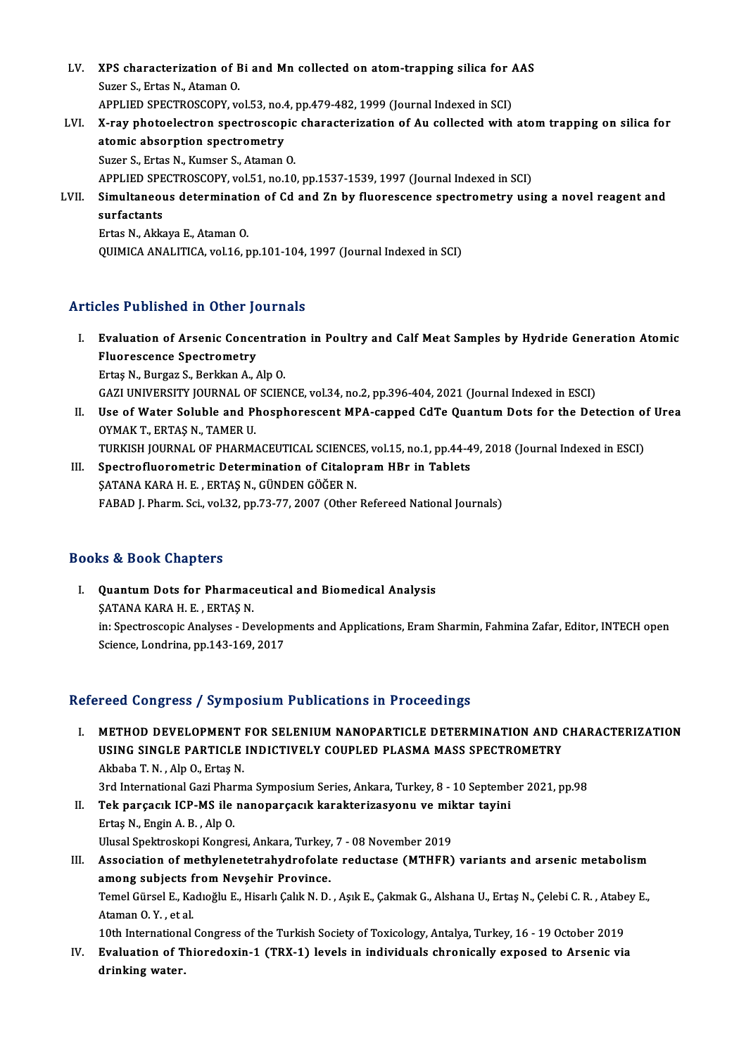- LV. XPS characterization of Bi and Mn collected on atom-trapping silica for AAS **XPS characterization of E**<br>Suzer S., Ertas N., Ataman O.<br>APPLIED SPECTROSCOPY v XPS characterization of Bi and Mn collected on atom-trapping silica for A<br>Suzer S., Ertas N., Ataman O.<br>APPLIED SPECTROSCOPY, vol.53, no.4, pp.479-482, 1999 (Journal Indexed in SCI)<br>Y nou photoelectron apectroscopic charac Suzer S., Ertas N., Ataman O.<br>APPLIED SPECTROSCOPY, vol.53, no.4, pp.479-482, 1999 (Journal Indexed in SCI)<br>LVI. X-ray photoelectron spectroscopic characterization of Au collected with atom trapping on silica for<br>atomic ab
- APPLIED SPECTROSCOPY, vol.53, no.4, pp.479-482, 1999 (Journal Indexed in SCI)<br>X-ray photoelectron spectroscopic characterization of Au collected with<br>atomic absorption spectrometry<br>Suzer S., Ertas N., Kumser S., Ataman O. X-ray photoelectron spectroscopic<br>atomic absorption spectrometry<br>Suzer S., Ertas N., Kumser S., Ataman O.<br>APPLIED SPECTPOSCOPY vol 51 no 10 atomic absorption spectrometry<br>Suzer S., Ertas N., Kumser S., Ataman O.<br>APPLIED SPECTROSCOPY, vol.51, no.10, pp.1537-1539, 1997 (Journal Indexed in SCI)<br>Simultaneous determination of Cd and Zn by fluorescopes spectrometry Suzer S., Ertas N., Kumser S., Ataman O.<br>APPLIED SPECTROSCOPY, vol.51, no.10, pp.1537-1539, 1997 (Journal Indexed in SCI)<br>LVII. Simultaneous determination of Cd and Zn by fluorescence spectrometry using a novel reagent and **APPLIED SPE<br>Simultaneou<br>surfactants**<br>Ertes N. Akks
	- Simultaneous determinatic<br>surfactants<br>Ertas N., Akkaya E., Ataman O.<br>OUIMICA ANALITICA vol 16 r surfactants<br>Ertas N., Akkaya E., Ataman O.<br>QUIMICA ANALITICA, vol.16, pp.101-104, 1997 (Journal Indexed in SCI)

### Articles Published in Other Journals

- rticles Published in Other Journals<br>I. Evaluation of Arsenic Concentration in Poultry and Calf Meat Samples by Hydride Generation Atomic<br>Flueressense Spectrometry France of Arsenic Conce<br>Fluorescence Spectrometry<br>Frites N. Burger S. Berlinn A. Fluorescence Spectrometry<br>Ertaş N., Burgaz S., Berkkan A., Alp O. Fluorescence Spectrometry<br>Ertaş N., Burgaz S., Berkkan A., Alp O.<br>GAZI UNIVERSITY JOURNAL OF SCIENCE, vol.34, no.2, pp.396-404, 2021 (Journal Indexed in ESCI)<br>Hae of Water Soluble and Phoenboressent MPA senned GdTe Quantum Ertaş N., Burgaz S., Berkkan A., Alp O.<br>GAZI UNIVERSITY JOURNAL OF SCIENCE, vol.34, no.2, pp.396-404, 2021 (Journal Indexed in ESCI)<br>II. Use of Water Soluble and Phosphorescent MPA-capped CdTe Quantum Dots for the Detectio
- GAZI UNIVERSITY JOURNAL OF<br>Use of Water Soluble and Pl<br>OYMAK T., ERTAŞ N., TAMER U.<br>TURKISH JOURNAL OF RHARMA Use of Water Soluble and Phosphorescent MPA-capped CdTe Quantum Dots for the Detection of CYMAK T., ERTAŞ N., TAMER U.<br>OYMAK T., ERTAŞ N., TAMER U.<br>TURKISH JOURNAL OF PHARMACEUTICAL SCIENCES, vol.15, no.1, pp.44-49, 2018 ( OYMAK T., ERTAȘ N., TAMER U.<br>III. Spectrofluorometric Determination of Citalopram HBr in Tablets<br>SATANA KABA H E ERTAS N. CÜNDEN CÖČER N.
- TURKISH JOURNAL OF PHARMACEUTICAL SCIENCE<br>Spectrofluorometric Determination of Citalop<br>ŞATANA KARA H. E. , ERTAŞ N., GÜNDEN GÖĞER N.<br>FARAD L. Pharm. Sci. val 33. np.73.77.2007.(Other ŞATANA KARA H. E. , ERTAŞ N., GÜNDEN GÖĞER N.<br>FABAD J. Pharm. Sci., vol.32, pp.73-77, 2007 (Other Refereed National Journals)

### Books&Book Chapters

I. QuantumDots for Pharmaceutical and Biomedical Analysis ŞATANA KARA H. E., ERTAŞ N. Quantum Dots for Pharmaceutical and Biomedical Analysis<br>SATANA KARA H. E. , ERTAŞ N.<br>in: Spectroscopic Analyses - Developments and Applications, Eram Sharmin, Fahmina Zafar, Editor, INTECH open<br>Science Jondrine, np.143,160 ȘATANA KARA H. E. , ERTAȘ N.<br>in: Spectroscopic Analyses - Developr<br>Science, Londrina, pp.143-169, 2017

# Science, Londrina, pp.143-169, 2017<br>Refereed Congress / Symposium Publications in Proceedings

efereed Congress / Symposium Publications in Proceedings<br>I. METHOD DEVELOPMENT FOR SELENIUM NANOPARTICLE DETERMINATION AND CHARACTERIZATION<br>IISING SINGLE RARTICLE INDICTIVELY COURLED BLASMA MASS SREGTROMETRY TOOL GONGLOOT, OF MPOOLUM I UDITOULTION IN ITOOOGLINGS<br>METHOD DEVELOPMENT FOR SELENIUM NANOPARTICLE DETERMINATION AND (<br>USING SINGLE PARTICLE INDICTIVELY COUPLED PLASMA MASS SPECTROMETRY METHOD DEVELOPMENT<br>USING SINGLE PARTICLE<br>Akbaba T. N. , Alp O., Ertaş N.<br><sup>2</sup>rd International Cari Pharm USING SINGLE PARTICLE INDICTIVELY COUPLED PLASMA MASS SPECTROMETRY<br>Akbaba T. N. , Alp O., Ertaş N.<br>3rd International Gazi Pharma Symposium Series, Ankara, Turkey, 8 - 10 September 2021, pp.98<br>Tek parsasık JCB MS ile papapa Akbaba T. N. , Alp O., Ertaş N.<br>3rd International Gazi Pharma Symposium Series, Ankara, Turkey, 8 - 10 Septemb<br>II. Tek parçacık ICP-MS ile nanoparçacık karakterizasyonu ve miktar tayini<br>Ertas N. Engin A. B., Alp O.

3rd International Gazi Phar<br>Tek parçacık ICP-MS ile<br>Ertaş N., Engin A. B. , Alp O.<br>Ulusel Spektreskeni Kongre Tek parçacık ICP-MS ile nanoparçacık karakterizasyonu ve mil<br>Ertaş N., Engin A. B. , Alp O.<br>Ulusal Spektroskopi Kongresi, Ankara, Turkey, 7 - 08 November 2019<br>Association of methylanetetrohydrofolate neductase (MTHEP)

- Ertaş N., Engin A. B. , Alp O.<br>Ulusal Spektroskopi Kongresi, Ankara, Turkey, 7 08 November 2019<br>III. Association of methylenetetrahydrofolate reductase (MTHFR) variants and arsenic metabolism<br>among subjects from Nevsehir Ulusal Spektroskopi Kongresi, Ankara, Turkey,<br>Association of methylenetetrahydrofolat<br>among subjects from Nevşehir Province.<br>Tamel Gürsel E. Kodreğlu E. Hisarlı Calık N. D. Association of methylenetetrahydrofolate reductase (MTHFR) variants and arsenic metabolism<br>among subjects from Nevşehir Province.<br>Temel Gürsel E., Kadıoğlu E., Hisarlı Çalık N. D. , Aşık E., Çakmak G., Alshana U., Ertaş N. a<mark>mong subjects f</mark><br>Temel Gürsel E., Ka<br>Ataman O.Y. , et al.<br>10th International Temel Gürsel E., Kadıoğlu E., Hisarlı Çalık N. D. , Aşık E., Çakmak G., Alshana U., Ertaş N., Çelebi C. R. , Atabe<br>Ataman O. Y. , et al.<br>10th International Congress of the Turkish Society of Toxicology, Antalya, Turkey, 16 Ataman O. Y. , et al.<br>10th International Congress of the Turkish Society of Toxicology, Antalya, Turkey, 16 - 19 October 2019<br>IV. Evaluation of Thioredoxin-1 (TRX-1) levels in individuals chronically exposed to Arsenic via
- 10th Internationa<br>Evaluation of T<br>drinking water.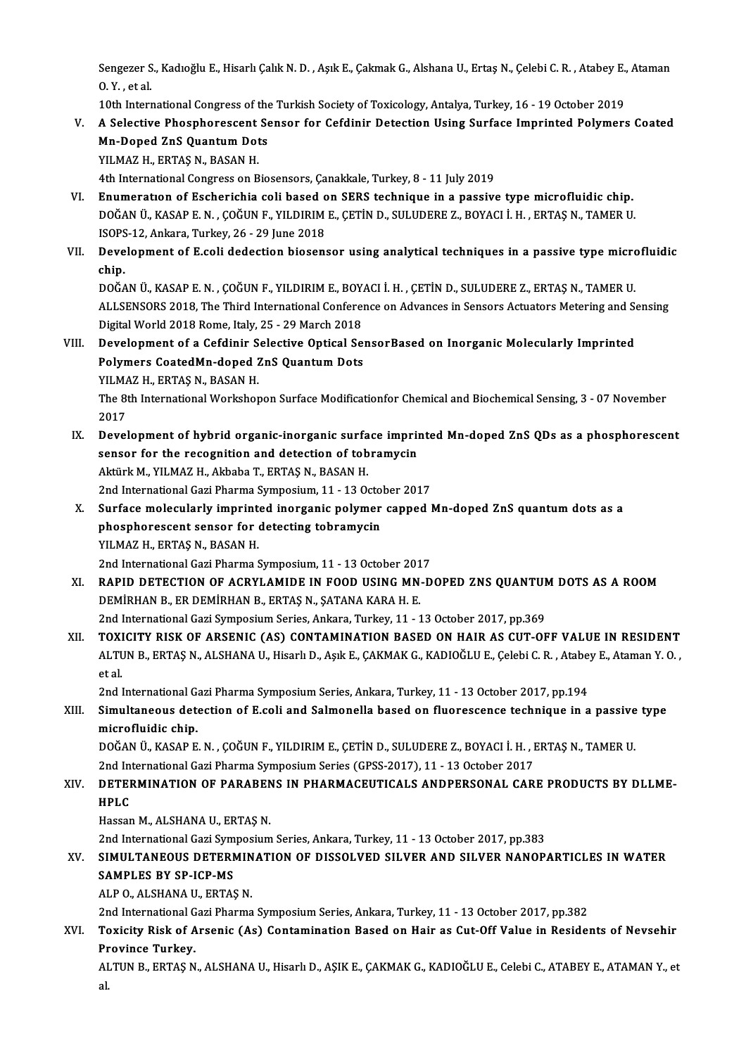Sengezer S., Kadıoğlu E., Hisarlı Çalık N. D. , Aşık E., Çakmak G., Alshana U., Ertaş N., Çelebi C. R. , Atabey E., Ataman<br>O. Y. , st.al Sengezer S<br>O. Y. , et al.<br>10th Intony Sengezer S., Kadıoğlu E., Hisarlı Çalık N. D. , Aşık E., Çakmak G., Alshana U., Ertaş N., Çelebi C. R. , Atabey E.,<br>O. Y. , et al.<br>10th International Congress of the Turkish Society of Toxicology, Antalya, Turkey, 16 - 19

O. Y. , et al.<br>10th International Congress of the Turkish Society of Toxicology, Antalya, Turkey, 16 - 19 October 2019<br>10. A Selective Phosphorescent Sensor for Cefdinir Detection Using Surface Imprinted Polymers Coated<br>10 10th International Congress of the<br>A Selective Phosphorescent Se<br>Mn-Doped ZnS Quantum Dots<br>YU MAZ H. EPTAS N. BASAN H A Selective Phosphorescent<br>Mn-Doped ZnS Quantum Dot<br>YILMAZ H., ERTAŞ N., BASAN H.<br>4th International Congress on B Mn-Doped ZnS Quantum Dots<br>1995 - YILMAZ H., ERTAŞ N., BASAN H.<br>4th International Congress on Biosensors, Çanakkale, Turkey, 8 - 11 July 2019

- VI. Enumeratıon of Escherichia coli based on SERS technique in a passive typemicrofluidic chip. DOĞANÜ.,KASAPE.N. ,ÇOĞUNF.,YILDIRIME.,ÇETİND.,SULUDEREZ.,BOYACI İ.H. ,ERTAŞN.,TAMERU. ISOPS-12,Ankara,Turkey,26 -29 June 2018 DOĞAN Ü., KASAP E. N. , ÇOĞUN F., YILDIRIM E., ÇETİN D., SULUDERE Z., BOYACI İ. H. , ERTAŞ N., TAMER U.<br>ISOPS-12, Ankara, Turkey, 26 - 29 June 2018<br>VII. Development of E.coli dedection biosensor using analytical techni
- ISOPS<br>Deve<br>chip.<br>DOČ^ Development of E.coli dedection biosensor using analytical techniques in a passive type micro<br>chip.<br>DOĞAN Ü., KASAP E. N. , ÇOĞUN F., YILDIRIM E., BOYACI İ. H. , ÇETİN D., SULUDERE Z., ERTAŞ N., TAMER U.<br>ALLENSORS 2019. Th

chip.<br>DOĞAN Ü., KASAP E. N. , ÇOĞUN F., YILDIRIM E., BOYACI İ. H. , ÇETİN D., SULUDERE Z., ERTAŞ N., TAMER U.<br>ALLSENSORS 2018, The Third International Conference on Advances in Sensors Actuators Metering and Sensing<br>Digita DOĞAN Ü., KASAP E. N. , ÇOĞUN F., YILDIRIM E., BOY.<br>ALLSENSORS 2018, The Third International Conferen<br>Digital World 2018 Rome, Italy, 25 - 29 March 2018<br>Dovelopment of a Cofdinin Selective Ontical Se ALLSENSORS 2018, The Third International Conference on Advances in Sensors Actuators Metering and Selective Digital World 2018 Rome, Italy, 25 - 29 March 2018<br>VIII. Development of a Cefdinir Selective Optical SensorBased o

- Digital World 2018 Rome, Italy, 25 29 March 2018<br>Development of a Cefdinir Selective Optical Se:<br>Polymers CoatedMn-doped ZnS Quantum Dots<br>YILMAZ H., ERTAS N., BASAN H. VIII. Development of a Cefdinir Selective Optical SensorBased on Inorganic Molecularly Imprinted Polymers CoatedMn-doped ZnS Quantum Dots<br>YILMAZ H., ERTAŞ N., BASAN H.<br>The 8th International Workshopon Surface Modificationfor Chemical and Biochemical Sensing, 3 - 07 November<br>2017 YILMA<br>The 81<br>2017<br>Peyel
	- The 8th International Workshopon Surface Modificationfor Chemical and Biochemical Sensing, 3 07 November<br>2017<br>IX. Development of hybrid organic-inorganic surface imprinted Mn-doped ZnS QDs as a phosphorescent<br>sensor for 2017<br>Development of hybrid organic-inorganic surface imprin<br>sensor for the recognition and detection of tobramycin<br>Aktürk M, VII MAZ H, Akhaba T, EPTAS N, RASAN H Development of hybrid organic-inorganic surfa<br>sensor for the recognition and detection of tob<br>Aktürk M., YILMAZ H., Akbaba T., ERTAŞ N., BASAN H.<br>2nd International Cari Bharma Sumnosium 11, 12 00 sensor for the recognition and detection of tobramycin<br>Aktürk M., YILMAZ H., Akbaba T., ERTAŞ N., BASAN H.<br>2nd International Gazi Pharma Symposium, 11 - 13 October 2017<br>Surface molecularly imprinted inerganis polymer senne Aktürk M., YILMAZ H., Akbaba T., ERTAŞ N., BASAN H.<br>2nd International Gazi Pharma Symposium, 11 - 13 October 2017<br>X. Surface molecularly imprinted inorganic polymer capped Mn-doped ZnS quantum dots as a<br>pheenberessent sens
	- 2nd International Gazi Pharma Symposium, 11 13 Octo<br>Surface molecularly imprinted inorganic polymer<br>phosphorescent sensor for detecting tobramycin<br>VII MAZ H. ERTAS N. PASAN H Surface molecularly imprint<br>phosphorescent sensor for<br>YILMAZ H., ERTAŞ N., BASAN H.<br>2nd International Cari Pharma S phosphorescent sensor for detecting tobramycin<br>2nd International Gazi Pharma Symposium, 11 - 13 October 2017

- YILMAZ H., ERTAŞ N., BASAN H.<br>2nd International Gazi Pharma Symposium, 11 13 October 2017<br>XI. RAPID DETECTION OF ACRYLAMIDE IN FOOD USING MN-DOPED ZNS QUANTUM DOTS AS A ROOM<br>DEMIPHAN B. ER DEMIRHAN B. ERTAS N. SATANA KAR 2nd International Gazi Pharma Symposium, 11 - 13 October 201<br>RAPID DETECTION OF ACRYLAMIDE IN FOOD USING MN<br>DEMİRHAN B., ER DEMİRHAN B., ERTAŞ N., ŞATANA KARA H. E.<br>2nd International Cazi Symposium Series, Ankara Turkey, 1 RAPID DETECTION OF ACRYLAMIDE IN FOOD USING MN-DOPED ZNS QUANTUN<br>DEMIRHAN B., ER DEMIRHAN B., ERTAŞ N., ŞATANA KARA H. E.<br>2nd International Gazi Symposium Series, Ankara, Turkey, 11 - 13 October 2017, pp.369<br>TOYICITY BISK XI . TOXICITY RISK OF ARSENIC (AS) CONTAMINATION BASED ON HAIR AS CUT-OFF VALUE IN RESIDENT
- 2nd International Gazi Symposium Series, Ankara, Turkey, 11 13 October 2017, pp.369<br>TOXICITY RISK OF ARSENIC (AS) CONTAMINATION BASED ON HAIR AS CUT-OFF VALUE IN RESIDENT<br>ALTUN B., ERTAŞ N., ALSHANA U., Hisarlı D., Aşık TOXI<br>ALTU<br>et al. ALTUN B., ERTAŞ N., ALSHANA U., Hisarlı D., Aşık E., ÇAKMAK G., KADIOĞLU E., Çelebi C. R. , Atabey E., Ataman Y. O. ,<br>et al.

2nd International Gazi Pharma Symposium Series, Ankara, Turkey, 11 - 13 October 2017, pp.194

XIII. Simultaneous detection of E.coli and Salmonella based on fluorescence technique in a passive type microfluidic chip. Simultaneous detection of E.coli and Salmonella based on fluorescence technique in a passive<br>microfluidic chip.<br>DOĞAN Ü., KASAP E. N. , ÇOĞUN F., YILDIRIM E., ÇETİN D., SULUDERE Z., BOYACI İ. H. , ERTAŞ N., TAMER U.<br>2nd In

microfluidic chip.<br>DOĞAN Ü., KASAP E. N. , ÇOĞUN F., YILDIRIM E., ÇETİN D., SULUDERE Z., BOYACI İ. H. , I<br>2nd International Gazi Pharma Symposium Series (GPSS-2017), 11 - 13 October 2017<br>DETERMINATION OF PARARENS IN PHARMA

### DOĞAN Ü., KASAP E. N. , ÇOĞUN F., YILDIRIM E., ÇETİN D., SULUDERE Z., BOYACI İ. H. , ERTAŞ N., TAMER U.<br>2nd International Gazi Pharma Symposium Series (GPSS-2017), 11 - 13 October 2017<br>XIV. DETERMINATION OF PARABENS IN 2nd International Gazi Pharma Symposium Series (GPSS-2017), 11 - 13 October 2017<br>DETERMINATION OF PARABENS IN PHARMACEUTICALS ANDPERSONAL CAR<br>HPLC<br>Hassan M., ALSHANA U., ERTAS N. XIV. DETERMINATION OF PARABENS IN PHARMACEUTICALS ANDPERSONAL CARE PRODUCTS BY DLLME-

2nd InternationalGaziSymposiumSeries,Ankara,Turkey,11 -13October 2017,pp.383

### Hassan M., ALSHANA U., ERTAȘ N.<br>2nd International Gazi Symposium Series, Ankara, Turkey, 11 - 13 October 2017, pp.383<br>XV. SIMULTANEOUS DETERMINATION OF DISSOLVED SILVER AND SILVER NANOPARTICLES IN WATER<br>SAMPLES PV SP. 2nd International Gazi Sym<br>SIMULTANEOUS DETERN<br>SAMPLES BY SP-ICP-MS<br>ALBO ALSHANA U ERTAS SIMULTANEOUS DETERMIN<br>SAMPLES BY SP-ICP-MS<br>ALP O., ALSHANA U., ERTAŞ N.<br>2nd International Cari Bharma 3AMPLES BY SP-ICP-MS<br>ALP O., ALSHANA U., ERTAŞ N.<br>2nd International Gazi Pharma Symposium Series, Ankara, Turkey, 11 - 13 October 2017, pp.382

## ALP 0., ALSHANA U., ERTAŞ N.<br>2nd International Gazi Pharma Symposium Series, Ankara, Turkey, 11 - 13 October 2017, pp.382<br>XVI. Toxicity Risk of Arsenic (As) Contamination Based on Hair as Cut-Off Value in Residents of 2nd International G<br>Toxicity Risk of A<br>Province Turkey.<br>ALTIN B. ERTAS N

Province Turkey.<br>ALTUN B., ERTAŞ N., ALSHANA U., Hisarlı D., AŞIK E., ÇAKMAK G., KADIOĞLU E., Celebi C., ATABEY E., ATAMAN Y., et<br>al. Pr<br>Al<br>al.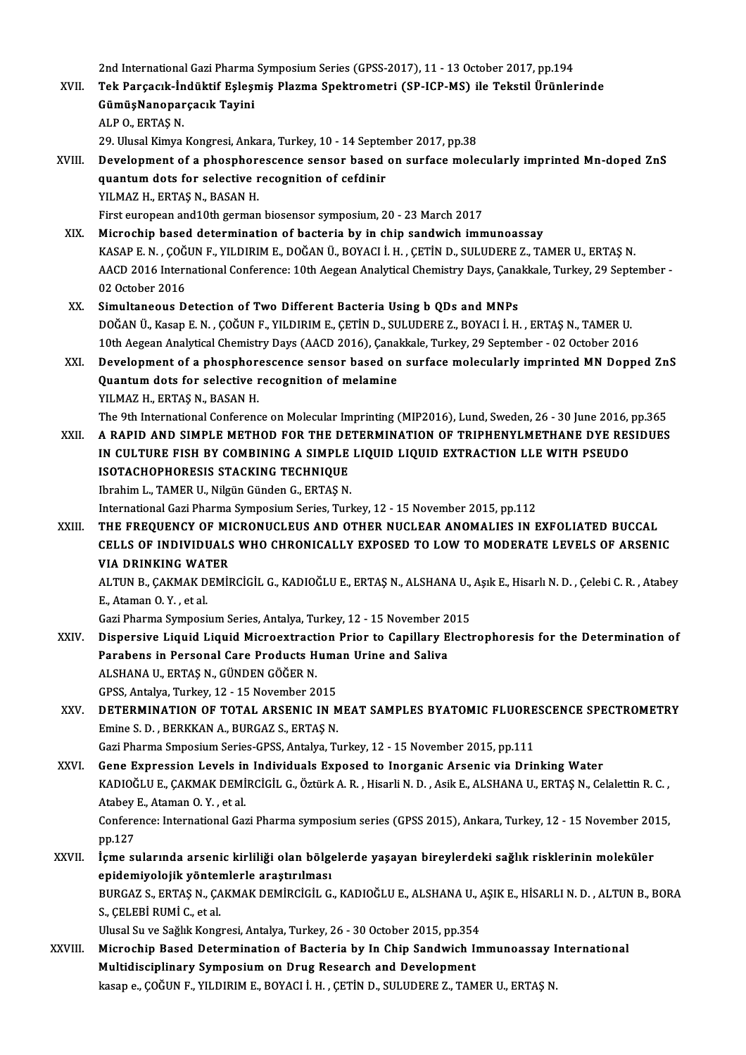2nd International Gazi Pharma Symposium Series (GPSS-2017), 11 - 13 October 2017, pp.194<br>Tek Persesuk İndültif Felesmis Plarma Spektrometri (SP ICP MS) ile Tekstil Ününler

2nd International Gazi Pharma Symposium Series (GPSS-2017), 11 - 13 October 2017, pp.194<br>XVII. Tek Parçacık-İndüktif Eşleşmiş Plazma Spektrometri (SP-ICP-MS) ile Tekstil Ürünlerinde 2nd International Gazi Pharma<br>Tek Parçacık-İndüktif Eşleşı<br>GümüşNanoparçacık Tayini<br>ALBO EPTAS N Tek Parçacık-İn<br>GümüşNanopar<br>ALP 0., ERTAŞ N.<br>20. Ulusel Kimua GümüşNanoparçacık Tayini<br>ALP 0., ERTAŞ N.<br>29. Ulusal Kimya Kongresi, Ankara, Turkey, 10 - 14 September 2017, pp.38<br>Davelopment of a phosphoressense sensor based en surfase mele ALP O., ERTAŞ N.<br>29. Ulusal Kimya Kongresi, Ankara, Turkey, 10 - 14 September 2017, pp.38<br>XVIII. Development of a phosphorescence sensor based on surface molecularly imprinted Mn-doped ZnS 29. Ulusal Kimya Kongresi, Ankara, Turkey, 10 - 14 Septer<br>Development of a phosphorescence sensor based<br>quantum dots for selective recognition of cefdinir<br>VII MAZ H. EPTAS N. PASAN H

quantum dots for selective recognition of cefdinir<br>YILMAZ H., ERTAŞ N., BASAN H.

First european and 10th german biosensor symposium, 20 - 23 March 2017

XIX. Microchip based determination of bacteria by in chip sandwich immunoassay First european and10th german biosensor symposium, 20 - 23 March 2017<br>Microchip based determination of bacteria by in chip sandwich immunoassay<br>KASAP E. N. , ÇOĞUN F., YILDIRIM E., DOĞAN Ü., BOYACI İ. H. , ÇETİN D., SULUDE AACD 2016 International Conference: 10th Aegean Analytical Chemistry Days, Çanakkale, Turkey, 29 September - 02 October 2016 KASAP E.N., ÇOĞ<br>AACD 2016 Intern<br>02 October 2016<br>Simultaneous D

XX. Simultaneous Detection of Two Different Bacteria Using b QDs and MNPs 02 October 2016<br>Simultaneous Detection of Two Different Bacteria Using b QDs and MNPs<br>DOĞAN Ü., Kasap E. N. , ÇOĞUN F., YILDIRIM E., ÇETİN D., SULUDERE Z., BOYACI İ. H. , ERTAŞ N., TAMER U.<br>10th Asgeen Anaktisal Chamistu: Simultaneous Detection of Two Different Bacteria Using b QDs and MNPs<br>DOĞAN Ü., Kasap E. N. , ÇOĞUN F., YILDIRIM E., ÇETİN D., SULUDERE Z., BOYACI İ. H. , ERTAŞ N., TAMER U.<br>10th Aegean Analytical Chemistry Days (AACD 2016 DOĞAN Ü., Kasap E. N. , ÇOĞUN F., YILDIRIM E., ÇETİN D., SULUDERE Z., BOYACI İ. H. , ERTAŞ N., TAMER U.<br>10th Aegean Analytical Chemistry Days (AACD 2016), Çanakkale, Turkey, 29 September - 02 October 2016<br>XXI. Development

10th Aegean Analytical Chemistry Days (AACD 2016), Çana<br>Development of a phosphorescence sensor based on<br>Quantum dots for selective recognition of melamine<br>VU MAZ H. ERTAS N. PASAN H Development of a phosphore<br>Quantum dots for selective r<br>YILMAZ H., ERTAŞ N., BASAN H.<br>The Oth International Conferenc **Quantum dots for selective recognition of melamine<br>YILMAZ H., ERTAŞ N., BASAN H.<br>The 9th International Conference on Molecular Imprinting (MIP2016), Lund, Sweden, 26 - 30 June 2016, pp.365<br>A BARID AND SIMBLE METHOD FOR TH** 

YILMAZ H., ERTAȘ N., BASAN H.<br>The 9th International Conference on Molecular Imprinting (MIP2016), Lund, Sweden, 26 - 30 June 2016, pp.365<br>XXII. – A RAPID AND SIMPLE METHOD FOR THE DETERMINATION OF TRIPHENYLMETHANE DYE RESI The 9th International Conference on Molecular Imprinting (MIP2016), Lund, Sweden, 26 - 30 June 2016, <sub>1</sub><br>A RAPID AND SIMPLE METHOD FOR THE DETERMINATION OF TRIPHENYLMETHANE DYE RES<br>IN CULTURE FISH BY COMBINING A SIMPLE LIQ XXII. A RAPID AND SIMPLE METHOD FOR THE DETERMINATION OF TRIPHENYLMETHANE DYE RESIDUES<br>IN CULTURE FISH BY COMBINING A SIMPLE LIQUID LIQUID EXTRACTION LLE WITH PSEUDO<br>ISOTACHOPHORESIS STACKING TECHNIQUE

Ibrahim L., TAMER U., Nilgün Günden G., ERTAŞ N.

International Gazi Pharma Symposium Series, Turkey, 12 - 15 November 2015, pp.112

Ibrahim L., TAMER U., Nilgün Günden G., ERTAŞ N.<br>International Gazi Pharma Symposium Series, Turkey, 12 - 15 November 2015, pp.112<br>XXIII. THE FREQUENCY OF MICRONUCLEUS AND OTHER NUCLEAR ANOMALIES IN EXFOLIATED BUCCAL International Gazi Pharma Symposium Series, Turkey, 12 - 15 November 2015, pp.112<br>THE FREQUENCY OF MICRONUCLEUS AND OTHER NUCLEAR ANOMALIES IN EXFOLIATED BUCCAL<br>CELLS OF INDIVIDUALS WHO CHRONICALLY EXPOSED TO LOW TO MODERA THE FREQUENCY OF MI<br>CELLS OF INDIVIDUALS<br>VIA DRINKING WATER<br>ALTIN P. CAKMAK DEMIL CELLS OF INDIVIDUALS WHO CHRONICALLY EXPOSED TO LOW TO MODERATE LEVELS OF ARSENIC<br>VIA DRINKING WATER<br>ALTUN B., ÇAKMAK DEMİRCİGİL G., KADIOĞLU E., ERTAŞ N., ALSHANA U., Aşık E., Hisarlı N. D. , Çelebi C. R. , Atabey<br>E. Atam

**VIA DRINKING WAT<br>ALTUN B., ÇAKMAK D<br>E., Ataman O.Y., et al.<br>Cari Bharma Sumnasi** ALTUN B., ÇAKMAK DEMİRCİGİL G., KADIOĞLU E., ERTAŞ N., ALSHANA U.,<br>E., Ataman O. Y. , et al.<br>Gazi Pharma Symposium Series, Antalya, Turkey, 12 - 15 November 2015<br>Dianeraive J javid J javid Mianeeytrestien Prier te Canillar

E., Ataman O. Y. , et al.<br>Gazi Pharma Symposium Series, Antalya, Turkey, 12 - 15 November 2015<br>XXIV. Dispersive Liquid Liquid Microextraction Prior to Capillary Electrophoresis for the Determination of<br>Rarabans in Bars Gazi Pharma Symposium Series, Antalya, Turkey, 12 - 15 November 2<br>Dispersive Liquid Liquid Microextraction Prior to Capillary E<br>Parabens in Personal Care Products Human Urine and Saliva<br>ALSHANA UL EPTAS N. CÜNDEN CÖĞER N Dispersive Liquid Liquid Microextract<br>Parabens in Personal Care Products H<br>ALSHANA U., ERTAŞ N., GÜNDEN GÖĞER N.<br>CPSS Antelve Turkey 12, 15 Nevember 24 Parabens in Personal Care Products Huma<br>ALSHANA U., ERTAŞ N., GÜNDEN GÖĞER N.<br>GPSS, Antalya, Turkey, 12 - 15 November 2015<br>DETERMINATION OF TOTAL ARSENIC IN N

ALSHANA U., ERTAŞ N., GÜNDEN GÖĞER N.<br>GPSS, Antalya, Turkey, 12 - 15 November 2015<br>XXV. DETERMINATION OF TOTAL ARSENIC IN MEAT SAMPLES BYATOMIC FLUORESCENCE SPECTROMETRY<br>Emine S. D. , BERKKAN A., BURGAZ S., ERTAŞ N. GPSS, Antalya, Turkey, 12 - 15 November 2015<br>DETERMINATION OF TOTAL ARSENIC IN M<br>Emine S. D. , BERKKAN A., BURGAZ S., ERTAŞ N.<br>Cari Pharma Smnosium Sories CBSS, Antalya T.

Gazi Pharma Smposium Series-GPSS, Antalya, Turkey, 12 - 15 November 2015, pp.111

- Emine S. D. , BERKKAN A., BURGAZ S., ERTAŞ N.<br>Gazi Pharma Smposium Series-GPSS, Antalya, Turkey, 12 15 November 2015, pp.111<br>XXVI. Gene Expression Levels in Individuals Exposed to Inorganic Arsenic via Drinking Water<br>KAD KADIOĞLU E., ÇAKMAK DEMİRCİGİL G., Öztürk A. R. , Hisarli N. D. , Asik E., ALSHANA U., ERTAŞ N., Celalettin R. C. ,<br>Atabey E., Ataman O. Y. , et al. Gene Expression Levels in<br>KADIOĞLU E., ÇAKMAK DEMİ<br>Atabey E., Ataman O.Y. , et al.<br>Conference: International Cen KADIOĞLU E., ÇAKMAK DEMİRCİGİL G., Öztürk A. R. , Hisarli N. D. , Asik E., ALSHANA U., ERTAŞ N., Celalettin R. C. ,<br>Atabey E., Ataman O. Y. , et al.<br>Conference: International Gazi Pharma symposium series (GPSS 2015), Ankar Atabey<br>Confere<br>pp.127<br>**icme** su Conference: International Gazi Pharma symposium series (GPSS 2015), Ankara, Turkey, 12 - 15 November 20:<br>pp.127<br>XXVII. İçme sularında arsenic kirliliği olan bölgelerde yaşayan bireylerdeki sağlık risklerinin moleküler<br>onid
- pp.127<br>İçme sularında arsenic kirliliği olan bölge<br>epidemiyolojik yöntemlerle araştırılması<br>PURCAZS, ERTASN, CAKMAK DEMIRCİÇİL C İçme sularında arsenic kirliliği olan bölgelerde yaşayan bireylerdeki sağlık risklerinin moleküler<br>epidemiyolojik yöntemlerle araştırılması<br>BURGAZ S., ERTAŞ N., ÇAKMAK DEMİRCİGİL G., KADIOĞLU E., ALSHANA U., AŞIK E., HİSAR epidemiyolojik yönter<br>BURGAZ S., ERTAŞ N., ÇA<br>S., ÇELEBİ RUMİ C., et al.<br>Ulusal Su ve Sağlık Kong BURGAZ S., ERTAŞ N., ÇAKMAK DEMİRCİGİL G., KADIOĞLU E., ALSHANA U., *A*<br>S., ÇELEBİ RUMİ C., et al.<br>Ulusal Su ve Sağlık Kongresi, Antalya, Turkey, 26 - 30 October 2015, pp.354<br>Mianoshin Basad Determination of Bastania bu In

Ulusal Su ve Sağlık Kongresi, Antalya, Turkey, 26 - 30 October 2015, pp.354

S., ÇELEBİ RUMİ C., et al.<br>Ulusal Su ve Sağlık Kongresi, Antalya, Turkey, 26 - 30 October 2015, pp.354<br>XXVIII. Microchip Based Determination of Bacteria by In Chip Sandwich Immunoassay International<br>Multidisciplinary S kasap e., ÇOĞUN F., YILDIRIM E., BOYACI İ.H., ÇETİN D., SULUDERE Z., TAMER U., ERTAŞ N.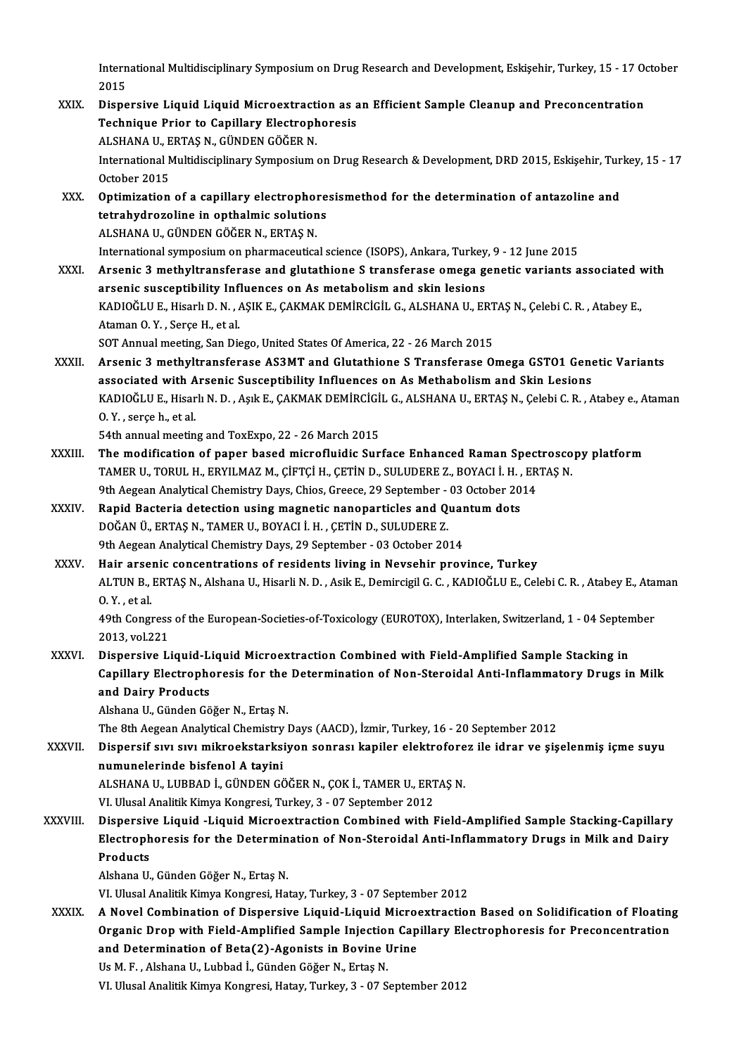International Multidisciplinary Symposium on Drug Research and Development, Eskişehir, Turkey, 15 - 17 October<br>2015 Intern<br>2015<br>Diano

International Multidisciplinary Symposium on Drug Research and Development, Eskişehir, Turkey, 15 - 17 0<br>2015<br>XXIX. Dispersive Liquid Liquid Microextraction as an Efficient Sample Cleanup and Preconcentration<br>Technique Pri 2015<br>Dispersive Liquid Liquid Microextraction as a<br>Technique Prior to Capillary Electrophoresis<br>ALSHANA U. EPTAS N. CÜNDEN CÖĞER N Dispersive Liquid Liquid Microextract<br>Technique Prior to Capillary Electroph<br>ALSHANA U., ERTAŞ N., GÜNDEN GÖĞER N.<br>International Multidissinlinary Symposium Technique Prior to Capillary Electrophoresis<br>ALSHANA U., ERTAŞ N., GÜNDEN GÖĞER N.<br>International Multidisciplinary Symposium on Drug Research & Development, DRD 2015, Eskişehir, Turkey, 15 - 17 ALSHANA U., ERTAŞ N., GÜNDEN GÖĞER N.<br>International Multidisciplinary Symposium<br>October 2015 International Multidisciplinary Symposium on Drug Research & Development, DRD 2015, Eskişehir, Tur<br>October 2015<br>XXX. Optimization of a capillary electrophoresismethod for the determination of antazoline and<br>tetraby dragoli October 2015<br>Optimization of a capillary electrophore<br>tetrahydrozoline in opthalmic solutions<br>ALSHANA IL CÜNDEN CÖČER N. ERTAS N. Optimization of a capillary electrophol<br>tetrahydrozoline in opthalmic solution<br>ALSHANA U., GÜNDEN GÖĞER N., ERTAŞ N.<br>International sumnosium on pharmaseutica tetrahydrozoline in opthalmic solutions<br>ALSHANA U., GÜNDEN GÖĞER N., ERTAŞ N.<br>International symposium on pharmaceutical science (ISOPS), Ankara, Turkey, 9 - 12 June 2015<br>Arsonia 3. methyltransforase and slutathione S. tran ALSHANA U., GÜNDEN GÖĞER N., ERTAŞ N.<br>International symposium on pharmaceutical science (ISOPS), Ankara, Turkey, 9 - 12 June 2015<br>XXXI. Arsenic 3 methyltransferase and glutathione S transferase omega genetic variants assoc International symposium on pharmaceutical science (ISOPS), Ankara, Turkey<br>Arsenic 3 methyltransferase and glutathione S transferase omega g<br>arsenic susceptibility Influences on As metabolism and skin lesions<br>KADIOČLUE Hiso Arsenic 3 methyltransferase and glutathione S transferase omega genetic variants associated variants associated<br>arsenic susceptibility Influences on As metabolism and skin lesions<br>KADIOĞLU E., Hisarlı D. N. , AŞIK E., ÇAKM arsenic susceptibility Inf.<br>KADIOĞLU E., Hisarlı D. N. , .<br>Ataman O. Y. , Serçe H., et al.<br>SOT Annual meeting, San Die KADIOĞLU E., Hisarlı D. N. , AŞIK E., ÇAKMAK DEMİRCİGİL G., ALSHANA U., ERT<br>Ataman O. Y. , Serçe H., et al.<br>SOT Annual meeting, San Diego, United States Of America, 22 - 26 March 2015<br>Arsonia 3. methyltransforass, AS3MT an Ataman O. Y. , Serçe H., et al.<br>SOT Annual meeting, San Diego, United States Of America, 22 - 26 March 2015<br>XXXII. Arsenic 3 methyltransferase AS3MT and Glutathione S Transferase Omega GSTO1 Genetic Variants<br>Accordiste SOT Annual meeting, San Diego, United States Of America, 22 - 26 March 2015<br>Arsenic 3 methyltransferase AS3MT and Glutathione S Transferase Omega GST01 Gene<br>associated with Arsenic Susceptibility Influences on As Methaboli Arsenic 3 methyltransferase AS3MT and Glutathione S Transferase Omega GSTO1 Genetic Variants<br>associated with Arsenic Susceptibility Influences on As Methabolism and Skin Lesions<br>KADIOĞLU E., Hisarlı N. D. , Aşık E., ÇAKMAK associated with A<br>KADIOĞLU E., Hisar<br>O.Y. , serçe h., et al.<br>E4th annual meetin KADIOĞLU E., Hisarlı N. D. , Aşık E., ÇAKMAK DEMİRCİGİ<br>O. Y. , serçe h., et al.<br>54th annual meeting and ToxExpo, 22 - 26 March 2015<br>The modification of nanor based misrofluidis Sur O. Y. , serçe h., et al.<br>54th annual meeting and ToxExpo, 22 - 26 March 2015<br>XXXIII. The modification of paper based microfluidic Surface Enhanced Raman Spectroscopy platform 54th annual meeting and ToxExpo, 22 - 26 March 2015<br>The modification of paper based microfluidic Surface Enhanced Raman Spectrosco<br>TAMER U., TORUL H., ERYILMAZ M., ÇİFTÇİ H., ÇETİN D., SULUDERE Z., BOYACI İ. H. , ERTAŞ N.<br> The modification of paper based microfluidic Surface Enhanced Raman Spect<br>TAMER U., TORUL H., ERYILMAZ M., ÇİFTÇİ H., ÇETİN D., SULUDERE Z., BOYACI İ. H. , ER<br>9th Aegean Analytical Chemistry Days, Chios, Greece, 29 Septemb TAMER U., TORUL H., ERYILMAZ M., ÇİFTÇİ H., ÇETİN D., SULUDERE Z., BOYACI İ. H.,<br>9th Aegean Analytical Chemistry Days, Chios, Greece, 29 September - 03 October 20<br>XXXIV. Rapid Bacteria detection using magnetic nanoparticle 9th Aegean Analytical Chemistry Days, Chios, Greece, 29 September - 03 October 2014<br>Rapid Bacteria detection using magnetic nanoparticles and Quantum dots<br>DOĞAN Ü., ERTAŞ N., TAMER U., BOYACI İ. H. , ÇETİN D., SULUDERE Z.<br> DOĞAN Ü., ERTAŞ N., TAMER U., BOYACI İ. H., ÇETİN D., SULUDERE Z. XXXV. Hair arsenic concentrations of residents living in Nevsehir province, Turkey 9th Aegean Analytical Chemistry Days, 29 September - 03 October 2014<br>Hair arsenic concentrations of residents living in Nevsehir province, Turkey<br>ALTUN B., ERTAŞ N., Alshana U., Hisarli N. D. , Asik E., Demircigil G. C. , Hair arse:<br>ALTUN B.,<br>O.Y., et al.<br>40th Congr ALTUN B., ERTAŞ N., Alshana U., Hisarli N. D. , Asik E., Demircigil G. C. , KADIOĞLU E., Celebi C. R. , Atabey E., Ata<br>O. Y. , et al.<br>49th Congress of the European-Societies-of-Toxicology (EUROTOX), Interlaken, Switzerland 0. Y. , et al.<br>49th Congress of the European-Societies-of-Toxicology (EUROTOX), Interlaken, Switzerland, 1 - 04 September<br>2013, vol.221 49th Congress of the European-Societies-of-Toxicology (EUROTOX), Interlaken, Switzerland, 1 - 04 Septer<br>2013, vol.221<br>XXXVI. Dispersive Liquid-Liquid Microextraction Combined with Field-Amplified Sample Stacking in<br>Conilla 2013, vol.221<br>Dispersive Liquid-Liquid Microextraction Combined with Field-Amplified Sample Stacking in<br>Capillary Electrophoresis for the Determination of Non-Steroidal Anti-Inflammatory Drugs in Milk<br>and Daiuy Producte Dispersive Liquid-L<br>Capillary Electrophe<br>and Dairy Products<br>Alshana U. Cünden Cõ Capillary Electrophoresis for the<br>and Dairy Products<br>Alshana U., Günden Göğer N., Ertaş N.<br>The <sup>9th</sup> Asseen Anaktisal Chamistur I and Dairy Products<br>Alshana U., Günden Göğer N., Ertaş N.<br>The 8th Aegean Analytical Chemistry Days (AACD), İzmir, Turkey, 16 - 20 September 2012 Alshana U., Günden Göğer N., Ertaş N.<br>The 8th Aegean Analytical Chemistry Days (AACD), İzmir, Turkey, 16 - 20 September 2012<br>XXXVII. Dispersif sıvı sıvı mikroekstarksiyon sonrası kapiler elektroforez ile idrar ve şişel The 8th Aegean Analytical Chemistry<br>Dispersif sivi sivi mikroekstarksi<br>numunelerinde bisfenol A tayini<br>ALSHANA IL LUPPAD İ. CÜNDEN CÖ Dispersif sıvı sıvı mikroekstarksiyon sonrası kapiler elektrofore<br>numunelerinde bisfenol A tayini<br>ALSHANA U., LUBBAD İ., GÜNDEN GÖĞER N., ÇOK İ., TAMER U., ERTAŞ N.<br>VI Hlusal Analitik Kimua Kongresi Turkay 2 - 07 Santambar numunelerinde bisfenol A tayini<br>ALSHANA U., LUBBAD İ., GÜNDEN GÖĞER N., ÇOK İ., TAMER U., ERTAŞ N.<br>VI. Ulusal Analitik Kimya Kongresi, Turkey, 3 - 07 September 2012 ALSHANA U., LUBBAD İ., GÜNDEN GÖĞER N., ÇOK İ., TAMER U., ERTAŞ N.<br>1997-YI. Ulusal Analitik Kimya Kongresi, Turkey, 3 - 07 September 2012<br>2014 - XXXVIII. Dispersive Liquid -Liquid Microextraction Combined with Field-Am VI. Ulusal Analitik Kimya Kongresi, Turkey, 3 - 07 September 2012<br>Dispersive Liquid -Liquid Microextraction Combined with Field-Amplified Sample Stacking-Capillary<br>Electrophoresis for the Determination of Non-Steroidal Ant Dispersiv<br>Electroph<br>Products<br><sup>Alebane U</sup> Electrophoresis for the Determination of Non-Steroidal Anti-Inflammatory Drugs in Milk and Dairy<br>Products<br>Alshana U., Günden Göğer N., Ertaş N. VI. Ulusal Analitik Kimya Kongresi, Hatay, Turkey, 3 - 07 September 2012 Alshana U., Günden Göğer N., Ertaş N.<br>VI. Ulusal Analitik Kimya Kongresi, Hatay, Turkey, 3 - 07 September 2012<br>XXXIX. A Novel Combination of Dispersive Liquid-Liquid Microextraction Based on Solidification of Floating<br> VI. Ulusal Analitik Kimya Kongresi, Hatay, Turkey, 3 - 07 September 2012<br>A Novel Combination of Dispersive Liquid-Liquid Microextraction Based on Solidification of Floatin<sub>i</sub><br>Organic Drop with Field-Amplified Sample Inject A Novel Combination of Dispersive Liquid-Liquid Micro<br>Organic Drop with Field-Amplified Sample Injection Cap<br>and Determination of Beta(2)-Agonists in Bovine Urine<br><sup>He M E</sup> Alshans II, Lubbed <sup>i</sup>, Günden Cöğan N, Ertes N Organic Drop with Field-Amplified Sample Injection<br>and Determination of Beta(2)-Agonists in Bovine I<br>Us M. F., Alshana U., Lubbad İ., Günden Göğer N., Ertaş N.<br>W. Ulugal Analitik Kimya Kangresi, Hatay Turkay, 2, 97.5 and Determination of Beta(2)-Agonists in Bovine Urine<br>Us M. F. , Alshana U., Lubbad İ., Günden Göğer N., Ertaş N.<br>VI. Ulusal Analitik Kimya Kongresi, Hatay, Turkey, 3 - 07 September 2012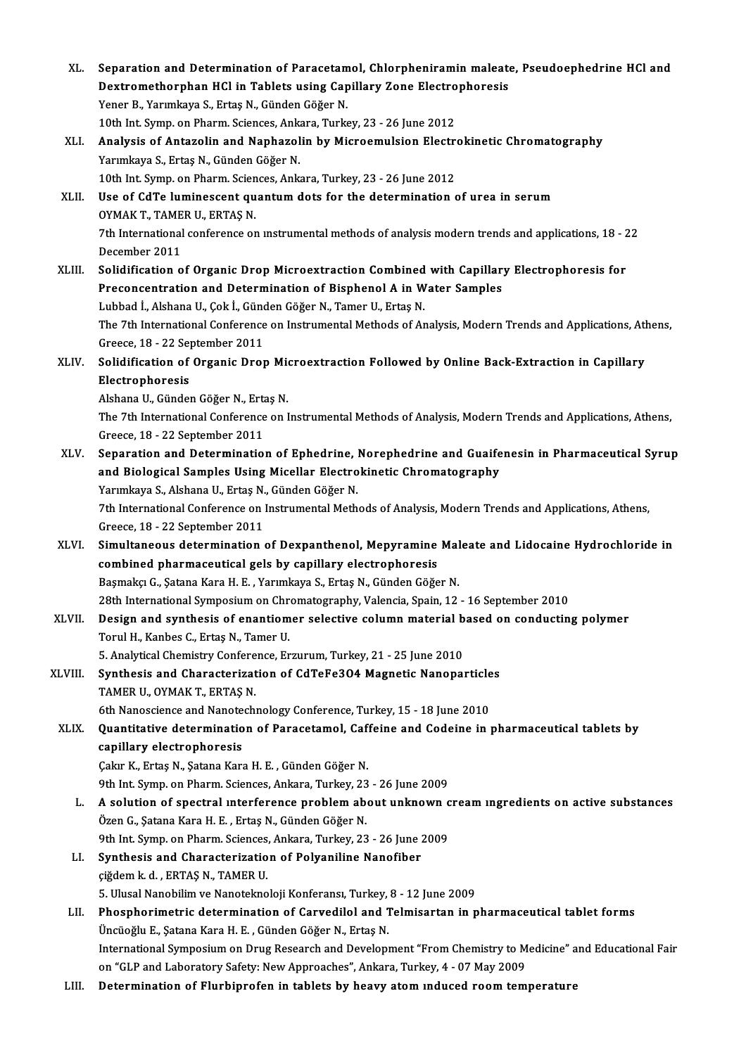| XL.          | Separation and Determination of Paracetamol, Chlorpheniramin maleate, Pseudoephedrine HCl and                                                                           |
|--------------|-------------------------------------------------------------------------------------------------------------------------------------------------------------------------|
|              | Dextromethorphan HCl in Tablets using Capillary Zone Electrophoresis                                                                                                    |
|              | Yener B., Yarımkaya S., Ertaş N., Günden Göğer N.                                                                                                                       |
|              | 10th Int. Symp. on Pharm. Sciences, Ankara, Turkey, 23 - 26 June 2012                                                                                                   |
| XLI.         | Analysis of Antazolin and Naphazolin by Microemulsion Electrokinetic Chromatography                                                                                     |
|              | Yarımkaya S., Ertaş N., Günden Göğer N.                                                                                                                                 |
|              | 10th Int. Symp. on Pharm. Sciences, Ankara, Turkey, 23 - 26 June 2012                                                                                                   |
| XLII.        | Use of CdTe luminescent quantum dots for the determination of urea in serum                                                                                             |
|              | OYMAK T., TAMER U., ERTAȘ N.                                                                                                                                            |
|              | 7th International conference on instrumental methods of analysis modern trends and applications, 18 - 22                                                                |
|              | December 2011                                                                                                                                                           |
| XLIII.       | Solidification of Organic Drop Microextraction Combined with Capillary Electrophoresis for                                                                              |
|              | Preconcentration and Determination of Bisphenol A in Water Samples                                                                                                      |
|              | Lubbad İ., Alshana U., Çok İ., Günden Göğer N., Tamer U., Ertaş N.                                                                                                      |
|              | The 7th International Conference on Instrumental Methods of Analysis, Modern Trends and Applications, Athens,                                                           |
|              | Greece, 18 - 22 September 2011                                                                                                                                          |
| XLIV.        | Solidification of Organic Drop Microextraction Followed by Online Back-Extraction in Capillary                                                                          |
|              | Electrophoresis                                                                                                                                                         |
|              | Alshana U., Günden Göğer N., Ertaş N.                                                                                                                                   |
|              | The 7th International Conference on Instrumental Methods of Analysis, Modern Trends and Applications, Athens,                                                           |
|              | Greece, 18 - 22 September 2011                                                                                                                                          |
| XLV.         | Separation and Determination of Ephedrine, Norephedrine and Guaifenesin in Pharmaceutical Syrup                                                                         |
|              | and Biological Samples Using Micellar Electrokinetic Chromatography                                                                                                     |
|              | Yarımkaya S., Alshana U., Ertaş N., Günden Göğer N.                                                                                                                     |
|              | 7th International Conference on Instrumental Methods of Analysis, Modern Trends and Applications, Athens,<br>Greece, 18 - 22 September 2011                             |
| XLVI.        | Simultaneous determination of Dexpanthenol, Mepyramine Maleate and Lidocaine Hydrochloride in                                                                           |
|              | combined pharmaceutical gels by capillary electrophoresis                                                                                                               |
|              | Başmakçı G., Şatana Kara H. E., Yarımkaya S., Ertaş N., Günden Göğer N.                                                                                                 |
|              | 28th International Symposium on Chromatography, Valencia, Spain, 12 - 16 September 2010                                                                                 |
| <b>XLVII</b> | Design and synthesis of enantiomer selective column material based on conducting polymer                                                                                |
|              | Torul H., Kanbes C., Ertas N., Tamer U.                                                                                                                                 |
|              | 5. Analytical Chemistry Conference, Erzurum, Turkey, 21 - 25 June 2010                                                                                                  |
| XLVIII.      | Synthesis and Characterization of CdTeFe304 Magnetic Nanoparticles                                                                                                      |
|              | TAMER U., OYMAK T., ERTAS N.                                                                                                                                            |
|              | 6th Nanoscience and Nanotechnology Conference, Turkey, 15 - 18 June 2010                                                                                                |
| XLIX.        | Quantitative determination of Paracetamol, Caffeine and Codeine in pharmaceutical tablets by                                                                            |
|              | capillary electrophoresis                                                                                                                                               |
|              | Çakır K., Ertaş N., Şatana Kara H. E., Günden Göğer N.                                                                                                                  |
|              | 9th Int. Symp. on Pharm. Sciences, Ankara, Turkey, 23 - 26 June 2009                                                                                                    |
| L.           | A solution of spectral interference problem about unknown cream ingredients on active substances                                                                        |
|              | Özen G., Şatana Kara H. E., Ertaş N., Günden Göğer N.                                                                                                                   |
|              | 9th Int. Symp. on Pharm. Sciences, Ankara, Turkey, 23 - 26 June 2009                                                                                                    |
| LI.          | Synthesis and Characterization of Polyaniline Nanofiber                                                                                                                 |
|              | çiğdem k d., ERTAŞ N., TAMER U.                                                                                                                                         |
| LII.         | 5. Ulusal Nanobilim ve Nanoteknoloji Konferansı, Turkey, 8 - 12 June 2009<br>Phosphorimetric determination of Carvedilol and Telmisartan in pharmaceutical tablet forms |
|              | Üncüoğlu E., Şatana Kara H. E., Günden Göğer N., Ertaş N.                                                                                                               |
|              | International Symposium on Drug Research and Development "From Chemistry to Medicine" and Educational Fair                                                              |
|              | on "GLP and Laboratory Safety: New Approaches", Ankara, Turkey, 4 - 07 May 2009                                                                                         |
| LIII.        | Determination of Flurbiprofen in tablets by heavy atom induced room temperature                                                                                         |
|              |                                                                                                                                                                         |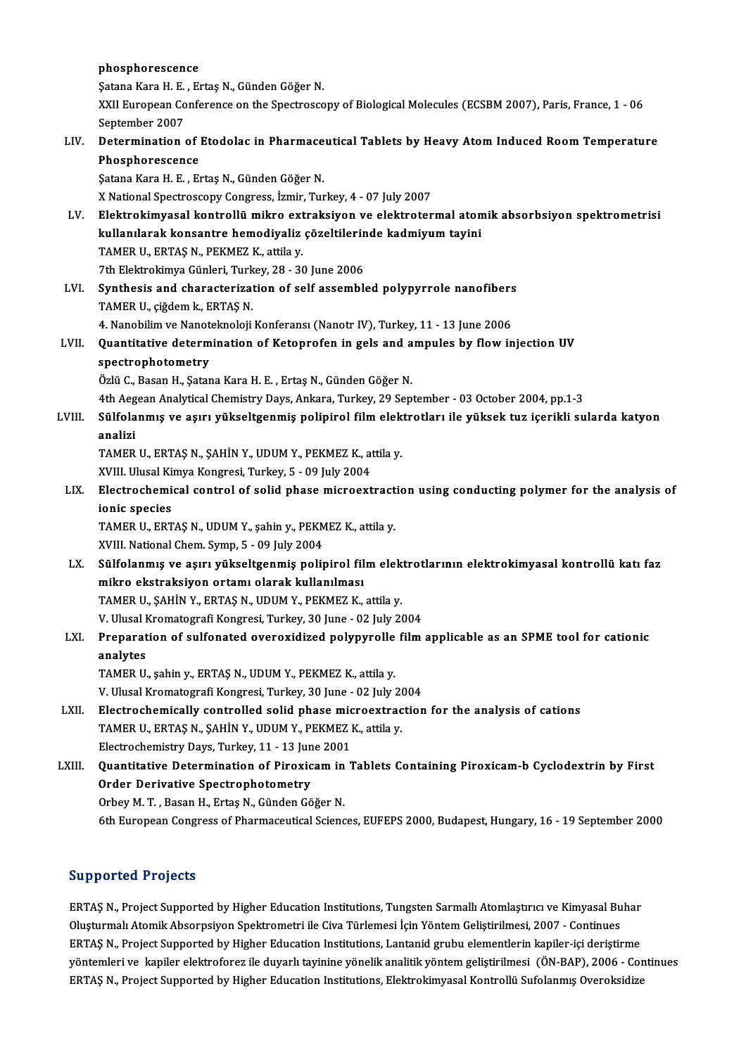|        | phosphorescence                                                                                          |
|--------|----------------------------------------------------------------------------------------------------------|
|        | Şatana Kara H. E., Ertaş N., Günden Göğer N.                                                             |
|        | XXII European Conference on the Spectroscopy of Biological Molecules (ECSBM 2007), Paris, France, 1 - 06 |
|        | September 2007                                                                                           |
| LIV.   | Determination of Etodolac in Pharmaceutical Tablets by Heavy Atom Induced Room Temperature               |
|        | Phosphorescence                                                                                          |
|        | Şatana Kara H. E., Ertaş N., Günden Göğer N.                                                             |
|        | X National Spectroscopy Congress, İzmir, Turkey, 4 - 07 July 2007                                        |
| LV.    | Elektrokimyasal kontrollü mikro extraksiyon ve elektrotermal atomik absorbsiyon spektrometrisi           |
|        | kullanılarak konsantre hemodiyaliz çözeltilerinde kadmiyum tayini                                        |
|        | TAMER U, ERTAȘ N, PEKMEZ K, attila y.                                                                    |
|        | 7th Elektrokimya Günleri, Turkey, 28 - 30 June 2006                                                      |
| LVI.   | Synthesis and characterization of self assembled polypyrrole nanofibers                                  |
|        | TAMER U., çiğdem k., ERTAŞ N.                                                                            |
|        | 4. Nanobilim ve Nanoteknoloji Konferansı (Nanotr IV), Turkey, 11 - 13 June 2006                          |
| LVII.  | Quantitative determination of Ketoprofen in gels and ampules by flow injection UV                        |
|        | spectrophotometry                                                                                        |
|        | Özlü C., Basan H., Şatana Kara H. E., Ertaş N., Günden Göğer N.                                          |
|        | 4th Aegean Analytical Chemistry Days, Ankara, Turkey, 29 September - 03 October 2004, pp.1-3             |
| LVIII. | Sülfolanmış ve aşırı yükseltgenmiş polipirol film elektrotları ile yüksek tuz içerikli sularda katyon    |
|        | analizi                                                                                                  |
|        | TAMER U., ERTAȘ N., ȘAHİN Y., UDUM Y., PEKMEZ K., attila y.                                              |
|        | XVIII. Ulusal Kimya Kongresi, Turkey, 5 - 09 July 2004                                                   |
| LIX.   | Electrochemical control of solid phase microextraction using conducting polymer for the analysis of      |
|        | ionic species                                                                                            |
|        | TAMER U., ERTAȘ N., UDUM Y., șahin y., PEKMEZ K., attila y.                                              |
|        | XVIII. National Chem. Symp, 5 - 09 July 2004                                                             |
| LX.    | Sülfolanmış ve aşırı yükseltgenmiş polipirol film elektrotlarının elektrokimyasal kontrollü katı faz     |
|        | mikro ekstraksivon ortamı olarak kullanılması                                                            |
|        | TAMER U., ȘAHIN Y., ERTAȘ N., UDUM Y., PEKMEZ K., attila y.                                              |
|        | V. Ulusal Kromatografi Kongresi, Turkey, 30 June - 02 July 2004                                          |
| LXI.   | Preparation of sulfonated overoxidized polypyrolle film applicable as an SPME tool for cationic          |
|        | analytes                                                                                                 |
|        | TAMER U., şahin y., ERTAŞ N., UDUM Y., PEKMEZ K., attila y.                                              |
|        | V. Ulusal Kromatografi Kongresi, Turkey, 30 June - 02 July 2004                                          |
| LXII.  | Electrochemically controlled solid phase microextraction for the analysis of cations                     |
|        | TAMER U., ERTAȘ N., ȘAHİN Y., UDUM Y., PEKMEZ K., attila y.                                              |
|        | Electrochemistry Days, Turkey, 11 - 13 June 2001                                                         |
| LXIII. | Quantitative Determination of Piroxicam in Tablets Containing Piroxicam-b Cyclodextrin by First          |
|        | <b>Order Derivative Spectrophotometry</b>                                                                |
|        | Orbey M. T., Basan H., Ertaş N., Günden Göğer N.                                                         |
|        | 6th European Congress of Pharmaceutical Sciences, EUFEPS 2000, Budapest, Hungary, 16 - 19 September 2000 |
|        |                                                                                                          |

### Supported Projects

Supported Projects<br>ERTAŞ N., Project Supported by Higher Education Institutions, Tungsten Sarmallı Atomlaştırıcı ve Kimyasal Buhar<br>Qlusturmalı Atomik Absennsiyan Spektrometri ile Give Türkemesi İsin Yöntem Gelistirilmesi 2 Oupporteer in ojects<br>ERTAŞ N., Project Supported by Higher Education Institutions, Tungsten Sarmallı Atomlaştırıcı ve Kimyasal Bu<br>Oluşturmalı Atomik Absorpsiyon Spektrometri ile Civa Türlemesi İçin Yöntem Geliştirilmesi, 2 ERTAŞ N., Project Supported by Higher Education Institutions, Tungsten Sarmallı Atomlaştırıcı ve Kimyasal Buhar<br>Oluşturmalı Atomik Absorpsiyon Spektrometri ile Civa Türlemesi İçin Yöntem Geliştirilmesi, 2007 - Continues<br>ER Oluşturmalı Atomik Absorpsiyon Spektrometri ile Civa Türlemesi İçin Yöntem Geliştirilmesi, 2007 - Continues<br>ERTAŞ N., Project Supported by Higher Education Institutions, Lantanid grubu elementlerin kapiler-içi deriştirme<br>y ERTAŞ N., Project Supported by Higher Education Institutions, Lantanid grubu elementlerin kapiler-içi deriştirme<br>yöntemleri ve kapiler elektroforez ile duyarlı tayinine yönelik analitik yöntem geliştirilmesi (ÖN-BAP), 20